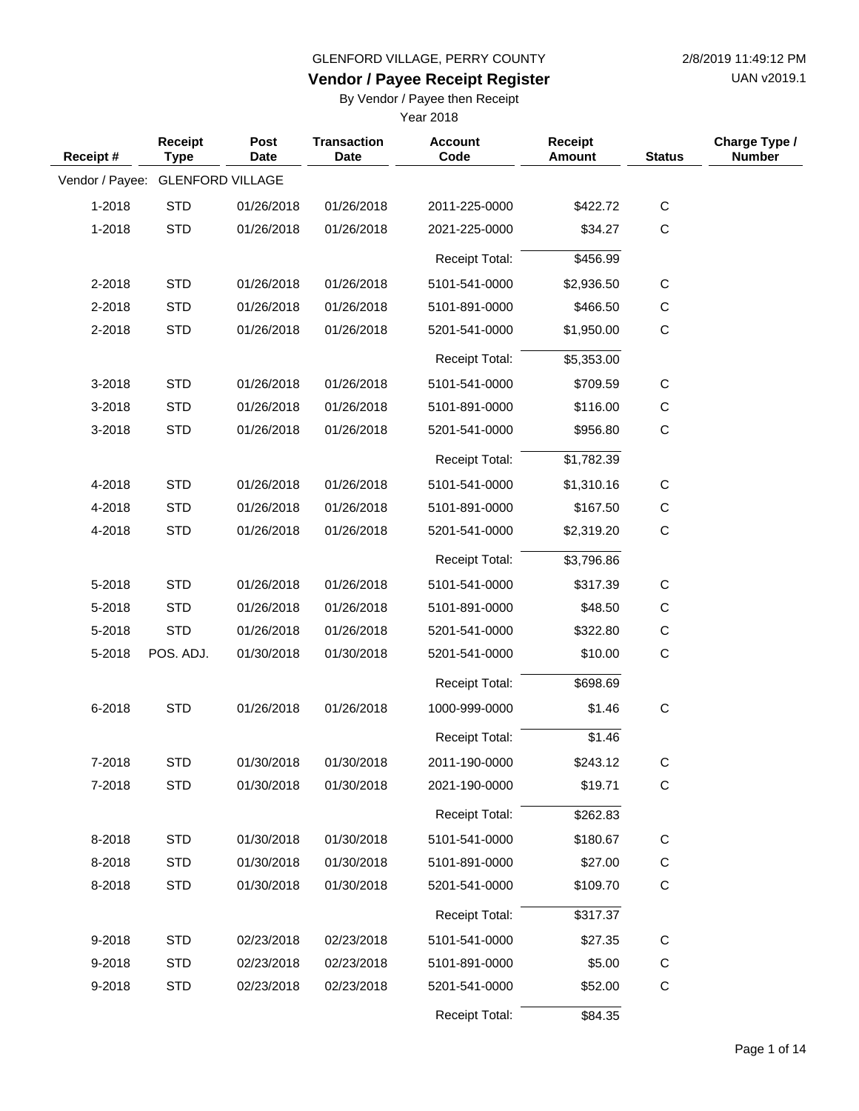UAN v2019.1

## **Vendor / Payee Receipt Register**

By Vendor / Payee then Receipt

| Receipt #                        | Receipt<br><b>Type</b> | Post<br><b>Date</b> | <b>Transaction</b><br><b>Date</b> | <b>Account</b><br>Code | <b>Receipt</b><br><b>Amount</b> | <b>Status</b> | Charge Type /<br><b>Number</b> |
|----------------------------------|------------------------|---------------------|-----------------------------------|------------------------|---------------------------------|---------------|--------------------------------|
| Vendor / Payee: GLENFORD VILLAGE |                        |                     |                                   |                        |                                 |               |                                |
| 1-2018                           | <b>STD</b>             | 01/26/2018          | 01/26/2018                        | 2011-225-0000          | \$422.72                        | $\mathsf C$   |                                |
| 1-2018                           | <b>STD</b>             | 01/26/2018          | 01/26/2018                        | 2021-225-0000          | \$34.27                         | $\mathsf C$   |                                |
|                                  |                        |                     |                                   | <b>Receipt Total:</b>  | \$456.99                        |               |                                |
| 2-2018                           | <b>STD</b>             | 01/26/2018          | 01/26/2018                        | 5101-541-0000          | \$2,936.50                      | $\mathsf{C}$  |                                |
| 2-2018                           | <b>STD</b>             | 01/26/2018          | 01/26/2018                        | 5101-891-0000          | \$466.50                        | C             |                                |
| 2-2018                           | <b>STD</b>             | 01/26/2018          | 01/26/2018                        | 5201-541-0000          | \$1,950.00                      | $\mathsf C$   |                                |
|                                  |                        |                     |                                   | <b>Receipt Total:</b>  | \$5,353.00                      |               |                                |
| 3-2018                           | <b>STD</b>             | 01/26/2018          | 01/26/2018                        | 5101-541-0000          | \$709.59                        | $\mathsf{C}$  |                                |
| 3-2018                           | <b>STD</b>             | 01/26/2018          | 01/26/2018                        | 5101-891-0000          | \$116.00                        | C             |                                |
| 3-2018                           | <b>STD</b>             | 01/26/2018          | 01/26/2018                        | 5201-541-0000          | \$956.80                        | $\mathsf C$   |                                |
|                                  |                        |                     |                                   | <b>Receipt Total:</b>  | \$1,782.39                      |               |                                |
| 4-2018                           | <b>STD</b>             | 01/26/2018          | 01/26/2018                        | 5101-541-0000          | \$1,310.16                      | $\mathsf{C}$  |                                |
| 4-2018                           | <b>STD</b>             | 01/26/2018          | 01/26/2018                        | 5101-891-0000          | \$167.50                        | C             |                                |
| 4-2018                           | <b>STD</b>             | 01/26/2018          | 01/26/2018                        | 5201-541-0000          | \$2,319.20                      | C             |                                |
|                                  |                        |                     |                                   | <b>Receipt Total:</b>  | \$3,796.86                      |               |                                |
| 5-2018                           | <b>STD</b>             | 01/26/2018          | 01/26/2018                        | 5101-541-0000          | \$317.39                        | C             |                                |
| 5-2018                           | <b>STD</b>             | 01/26/2018          | 01/26/2018                        | 5101-891-0000          | \$48.50                         | C             |                                |
| 5-2018                           | <b>STD</b>             | 01/26/2018          | 01/26/2018                        | 5201-541-0000          | \$322.80                        | C             |                                |
| 5-2018                           | POS. ADJ.              | 01/30/2018          | 01/30/2018                        | 5201-541-0000          | \$10.00                         | $\mathsf{C}$  |                                |
|                                  |                        |                     |                                   | <b>Receipt Total:</b>  | \$698.69                        |               |                                |
| 6-2018                           | <b>STD</b>             | 01/26/2018          | 01/26/2018                        | 1000-999-0000          | \$1.46                          | $\mathbf C$   |                                |
|                                  |                        |                     |                                   | <b>Receipt Total:</b>  | \$1.46                          |               |                                |
| 7-2018                           | <b>STD</b>             | 01/30/2018          | 01/30/2018                        | 2011-190-0000          | \$243.12                        | С             |                                |
| 7-2018                           | <b>STD</b>             | 01/30/2018          | 01/30/2018                        | 2021-190-0000          | \$19.71                         | $\mathsf C$   |                                |
|                                  |                        |                     |                                   | Receipt Total:         | \$262.83                        |               |                                |
| 8-2018                           | <b>STD</b>             | 01/30/2018          | 01/30/2018                        | 5101-541-0000          | \$180.67                        | $\mathsf{C}$  |                                |
| 8-2018                           | <b>STD</b>             | 01/30/2018          | 01/30/2018                        | 5101-891-0000          | \$27.00                         | C             |                                |
| 8-2018                           | <b>STD</b>             | 01/30/2018          | 01/30/2018                        | 5201-541-0000          | \$109.70                        | $\mathbf C$   |                                |
|                                  |                        |                     |                                   | <b>Receipt Total:</b>  | \$317.37                        |               |                                |
| 9-2018                           | <b>STD</b>             | 02/23/2018          | 02/23/2018                        | 5101-541-0000          | \$27.35                         | C             |                                |
| 9-2018                           | <b>STD</b>             | 02/23/2018          | 02/23/2018                        | 5101-891-0000          | \$5.00                          | C             |                                |
| 9-2018                           | <b>STD</b>             | 02/23/2018          | 02/23/2018                        | 5201-541-0000          | \$52.00                         | $\mathsf C$   |                                |
|                                  |                        |                     |                                   | Receipt Total:         | \$84.35                         |               |                                |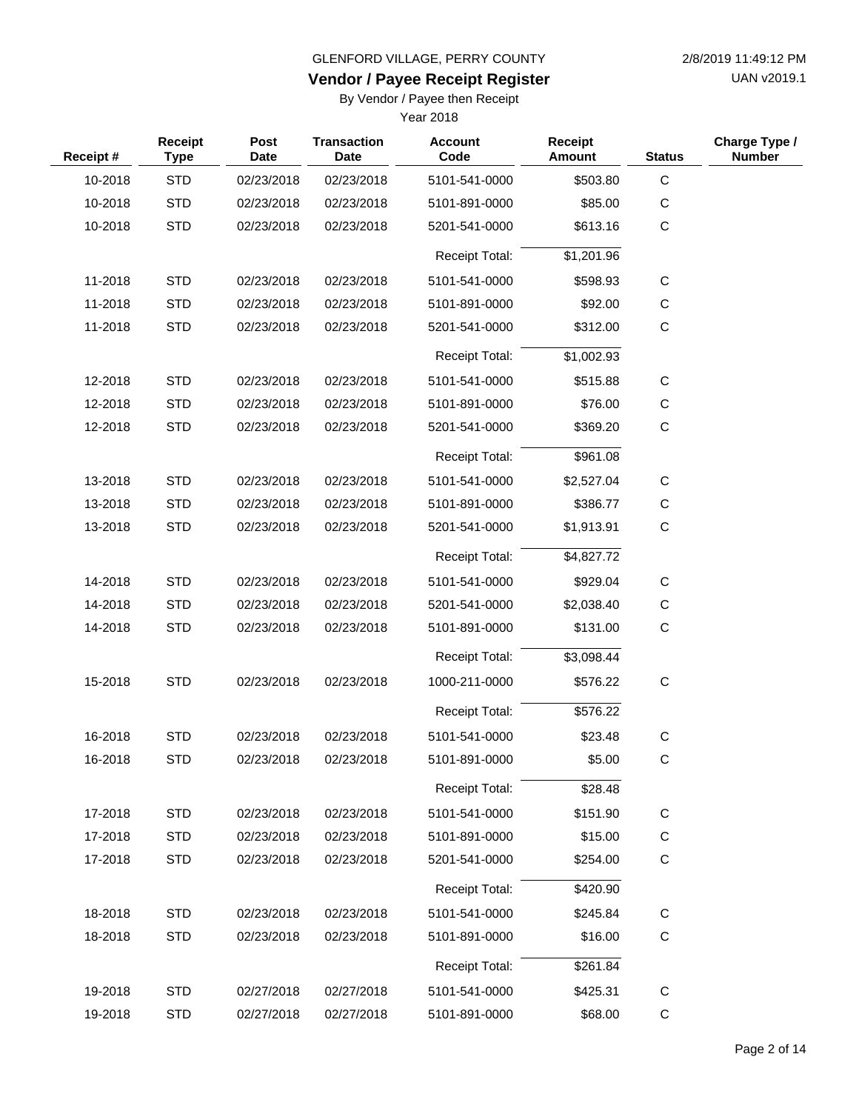UAN v2019.1

## **Vendor / Payee Receipt Register**

By Vendor / Payee then Receipt

| Receipt# | Receipt<br><b>Type</b> | <b>Post</b><br><b>Date</b> | <b>Transaction</b><br><b>Date</b> | <b>Account</b><br>Code | <b>Receipt</b><br><b>Amount</b> | <b>Status</b> | Charge Type /<br><b>Number</b> |
|----------|------------------------|----------------------------|-----------------------------------|------------------------|---------------------------------|---------------|--------------------------------|
| 10-2018  | <b>STD</b>             | 02/23/2018                 | 02/23/2018                        | 5101-541-0000          | \$503.80                        | $\mathbf C$   |                                |
| 10-2018  | <b>STD</b>             | 02/23/2018                 | 02/23/2018                        | 5101-891-0000          | \$85.00                         | С             |                                |
| 10-2018  | <b>STD</b>             | 02/23/2018                 | 02/23/2018                        | 5201-541-0000          | \$613.16                        | $\mathsf C$   |                                |
|          |                        |                            |                                   | <b>Receipt Total:</b>  | \$1,201.96                      |               |                                |
| 11-2018  | <b>STD</b>             | 02/23/2018                 | 02/23/2018                        | 5101-541-0000          | \$598.93                        | $\mathsf C$   |                                |
| 11-2018  | <b>STD</b>             | 02/23/2018                 | 02/23/2018                        | 5101-891-0000          | \$92.00                         | $\mathsf C$   |                                |
| 11-2018  | <b>STD</b>             | 02/23/2018                 | 02/23/2018                        | 5201-541-0000          | \$312.00                        | $\mathsf C$   |                                |
|          |                        |                            |                                   | <b>Receipt Total:</b>  | \$1,002.93                      |               |                                |
| 12-2018  | <b>STD</b>             | 02/23/2018                 | 02/23/2018                        | 5101-541-0000          | \$515.88                        | $\mathsf C$   |                                |
| 12-2018  | <b>STD</b>             | 02/23/2018                 | 02/23/2018                        | 5101-891-0000          | \$76.00                         | $\mathsf C$   |                                |
| 12-2018  | <b>STD</b>             | 02/23/2018                 | 02/23/2018                        | 5201-541-0000          | \$369.20                        | $\mathbf C$   |                                |
|          |                        |                            |                                   | <b>Receipt Total:</b>  | \$961.08                        |               |                                |
| 13-2018  | <b>STD</b>             | 02/23/2018                 | 02/23/2018                        | 5101-541-0000          | \$2,527.04                      | С             |                                |
| 13-2018  | <b>STD</b>             | 02/23/2018                 | 02/23/2018                        | 5101-891-0000          | \$386.77                        | C             |                                |
| 13-2018  | <b>STD</b>             | 02/23/2018                 | 02/23/2018                        | 5201-541-0000          | \$1,913.91                      | $\mathbf C$   |                                |
|          |                        |                            |                                   | <b>Receipt Total:</b>  | \$4,827.72                      |               |                                |
| 14-2018  | <b>STD</b>             | 02/23/2018                 | 02/23/2018                        | 5101-541-0000          | \$929.04                        | С             |                                |
| 14-2018  | <b>STD</b>             | 02/23/2018                 | 02/23/2018                        | 5201-541-0000          | \$2,038.40                      | $\mathsf C$   |                                |
| 14-2018  | <b>STD</b>             | 02/23/2018                 | 02/23/2018                        | 5101-891-0000          | \$131.00                        | $\mathsf C$   |                                |
|          |                        |                            |                                   | <b>Receipt Total:</b>  | \$3,098.44                      |               |                                |
| 15-2018  | <b>STD</b>             | 02/23/2018                 | 02/23/2018                        | 1000-211-0000          | \$576.22                        | $\mathsf C$   |                                |
|          |                        |                            |                                   | <b>Receipt Total:</b>  | \$576.22                        |               |                                |
| 16-2018  | <b>STD</b>             | 02/23/2018                 | 02/23/2018                        | 5101-541-0000          | \$23.48                         | $\mathsf C$   |                                |
| 16-2018  | STD                    | 02/23/2018                 | 02/23/2018                        | 5101-891-0000          | \$5.00                          | C             |                                |
|          |                        |                            |                                   | <b>Receipt Total:</b>  | \$28.48                         |               |                                |
| 17-2018  | <b>STD</b>             | 02/23/2018                 | 02/23/2018                        | 5101-541-0000          | \$151.90                        | $\mathsf C$   |                                |
| 17-2018  | <b>STD</b>             | 02/23/2018                 | 02/23/2018                        | 5101-891-0000          | \$15.00                         | $\mathsf{C}$  |                                |
| 17-2018  | <b>STD</b>             | 02/23/2018                 | 02/23/2018                        | 5201-541-0000          | \$254.00                        | $\mathsf C$   |                                |
|          |                        |                            |                                   | Receipt Total:         | \$420.90                        |               |                                |
| 18-2018  | <b>STD</b>             | 02/23/2018                 | 02/23/2018                        | 5101-541-0000          | \$245.84                        | $\mathsf C$   |                                |
| 18-2018  | <b>STD</b>             | 02/23/2018                 | 02/23/2018                        | 5101-891-0000          | \$16.00                         | C             |                                |
|          |                        |                            |                                   | Receipt Total:         | \$261.84                        |               |                                |
| 19-2018  | <b>STD</b>             | 02/27/2018                 | 02/27/2018                        | 5101-541-0000          | \$425.31                        | $\mathbf C$   |                                |
| 19-2018  | <b>STD</b>             | 02/27/2018                 | 02/27/2018                        | 5101-891-0000          | \$68.00                         | C             |                                |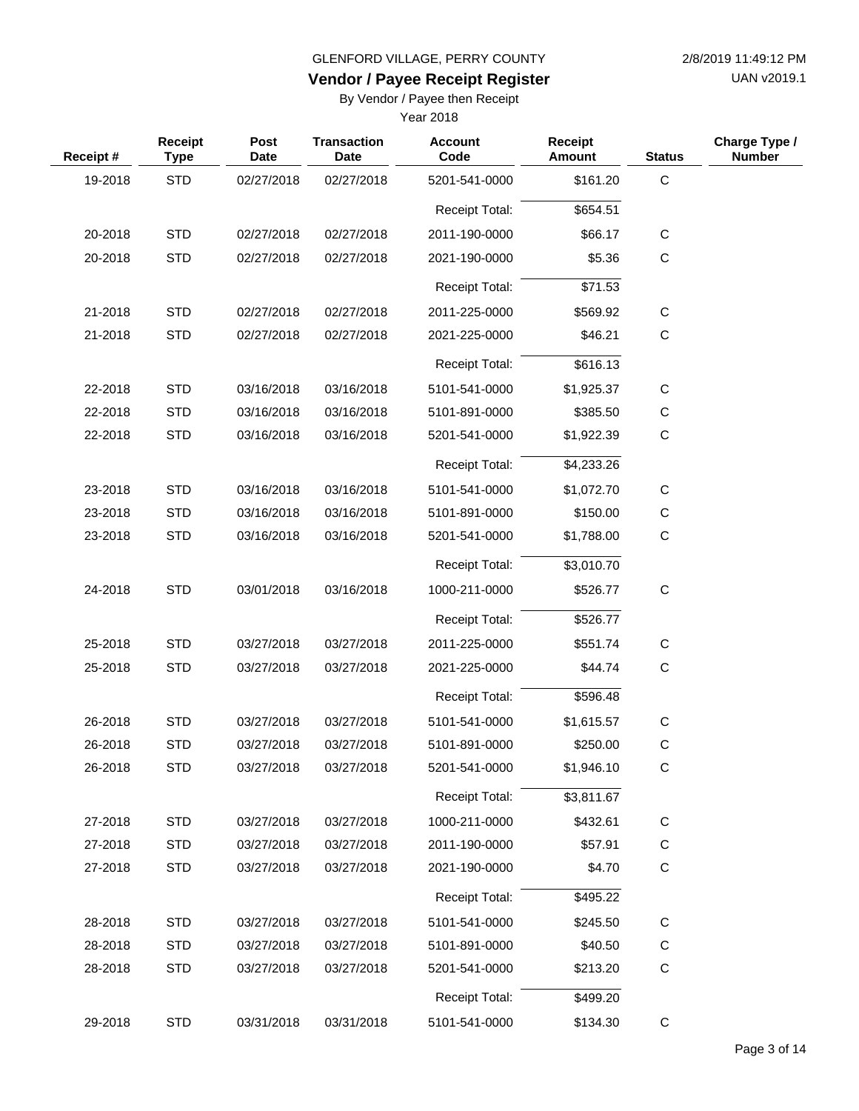UAN v2019.1

## **Vendor / Payee Receipt Register**

By Vendor / Payee then Receipt

| Receipt # | Receipt<br><b>Type</b> | <b>Post</b><br><b>Date</b> | <b>Transaction</b><br><b>Date</b> | <b>Account</b><br>Code | <b>Receipt</b><br>Amount | <b>Status</b> | Charge Type /<br><b>Number</b> |
|-----------|------------------------|----------------------------|-----------------------------------|------------------------|--------------------------|---------------|--------------------------------|
| 19-2018   | <b>STD</b>             | 02/27/2018                 | 02/27/2018                        | 5201-541-0000          | \$161.20                 | $\mathsf C$   |                                |
|           |                        |                            |                                   | <b>Receipt Total:</b>  | \$654.51                 |               |                                |
| 20-2018   | <b>STD</b>             | 02/27/2018                 | 02/27/2018                        | 2011-190-0000          | \$66.17                  | $\mathsf C$   |                                |
| 20-2018   | <b>STD</b>             | 02/27/2018                 | 02/27/2018                        | 2021-190-0000          | \$5.36                   | $\mathsf C$   |                                |
|           |                        |                            |                                   | <b>Receipt Total:</b>  | \$71.53                  |               |                                |
| 21-2018   | <b>STD</b>             | 02/27/2018                 | 02/27/2018                        | 2011-225-0000          | \$569.92                 | $\mathsf C$   |                                |
| 21-2018   | <b>STD</b>             | 02/27/2018                 | 02/27/2018                        | 2021-225-0000          | \$46.21                  | $\mathsf C$   |                                |
|           |                        |                            |                                   | <b>Receipt Total:</b>  | \$616.13                 |               |                                |
| 22-2018   | <b>STD</b>             | 03/16/2018                 | 03/16/2018                        | 5101-541-0000          | \$1,925.37               | $\mathsf C$   |                                |
| 22-2018   | <b>STD</b>             | 03/16/2018                 | 03/16/2018                        | 5101-891-0000          | \$385.50                 | $\mathsf C$   |                                |
| 22-2018   | <b>STD</b>             | 03/16/2018                 | 03/16/2018                        | 5201-541-0000          | \$1,922.39               | $\mathsf C$   |                                |
|           |                        |                            |                                   |                        |                          |               |                                |
|           |                        |                            |                                   | <b>Receipt Total:</b>  | \$4,233.26               |               |                                |
| 23-2018   | <b>STD</b>             | 03/16/2018                 | 03/16/2018                        | 5101-541-0000          | \$1,072.70               | $\mathsf C$   |                                |
| 23-2018   | <b>STD</b>             | 03/16/2018                 | 03/16/2018                        | 5101-891-0000          | \$150.00                 | С             |                                |
| 23-2018   | <b>STD</b>             | 03/16/2018                 | 03/16/2018                        | 5201-541-0000          | \$1,788.00               | $\mathsf C$   |                                |
|           |                        |                            |                                   | <b>Receipt Total:</b>  | \$3,010.70               |               |                                |
| 24-2018   | <b>STD</b>             | 03/01/2018                 | 03/16/2018                        | 1000-211-0000          | \$526.77                 | $\mathsf C$   |                                |
|           |                        |                            |                                   | <b>Receipt Total:</b>  | \$526.77                 |               |                                |
| 25-2018   | <b>STD</b>             | 03/27/2018                 | 03/27/2018                        | 2011-225-0000          | \$551.74                 | С             |                                |
| 25-2018   | <b>STD</b>             | 03/27/2018                 | 03/27/2018                        | 2021-225-0000          | \$44.74                  | $\mathsf C$   |                                |
|           |                        |                            |                                   | <b>Receipt Total:</b>  | \$596.48                 |               |                                |
| 26-2018   | <b>STD</b>             | 03/27/2018                 | 03/27/2018                        | 5101-541-0000          | \$1,615.57               | $\mathsf C$   |                                |
| 26-2018   | <b>STD</b>             | 03/27/2018                 | 03/27/2018                        | 5101-891-0000          | \$250.00                 | $\mathbf C$   |                                |
| 26-2018   | <b>STD</b>             | 03/27/2018                 | 03/27/2018                        | 5201-541-0000          | \$1,946.10               | $\mathsf C$   |                                |
|           |                        |                            |                                   | Receipt Total:         | \$3,811.67               |               |                                |
| 27-2018   | <b>STD</b>             | 03/27/2018                 | 03/27/2018                        | 1000-211-0000          | \$432.61                 | C             |                                |
| 27-2018   | <b>STD</b>             | 03/27/2018                 | 03/27/2018                        | 2011-190-0000          | \$57.91                  | $\mathsf C$   |                                |
| 27-2018   | <b>STD</b>             | 03/27/2018                 | 03/27/2018                        | 2021-190-0000          | \$4.70                   | $\mathsf C$   |                                |
|           |                        |                            |                                   | Receipt Total:         | \$495.22                 |               |                                |
| 28-2018   | <b>STD</b>             | 03/27/2018                 | 03/27/2018                        | 5101-541-0000          | \$245.50                 | C             |                                |
| 28-2018   | <b>STD</b>             | 03/27/2018                 | 03/27/2018                        | 5101-891-0000          | \$40.50                  | C             |                                |
| 28-2018   | <b>STD</b>             | 03/27/2018                 | 03/27/2018                        | 5201-541-0000          | \$213.20                 | $\mathsf C$   |                                |
|           |                        |                            |                                   | <b>Receipt Total:</b>  | \$499.20                 |               |                                |
| 29-2018   | <b>STD</b>             | 03/31/2018                 | 03/31/2018                        | 5101-541-0000          | \$134.30                 | $\mathsf C$   |                                |
|           |                        |                            |                                   |                        |                          |               |                                |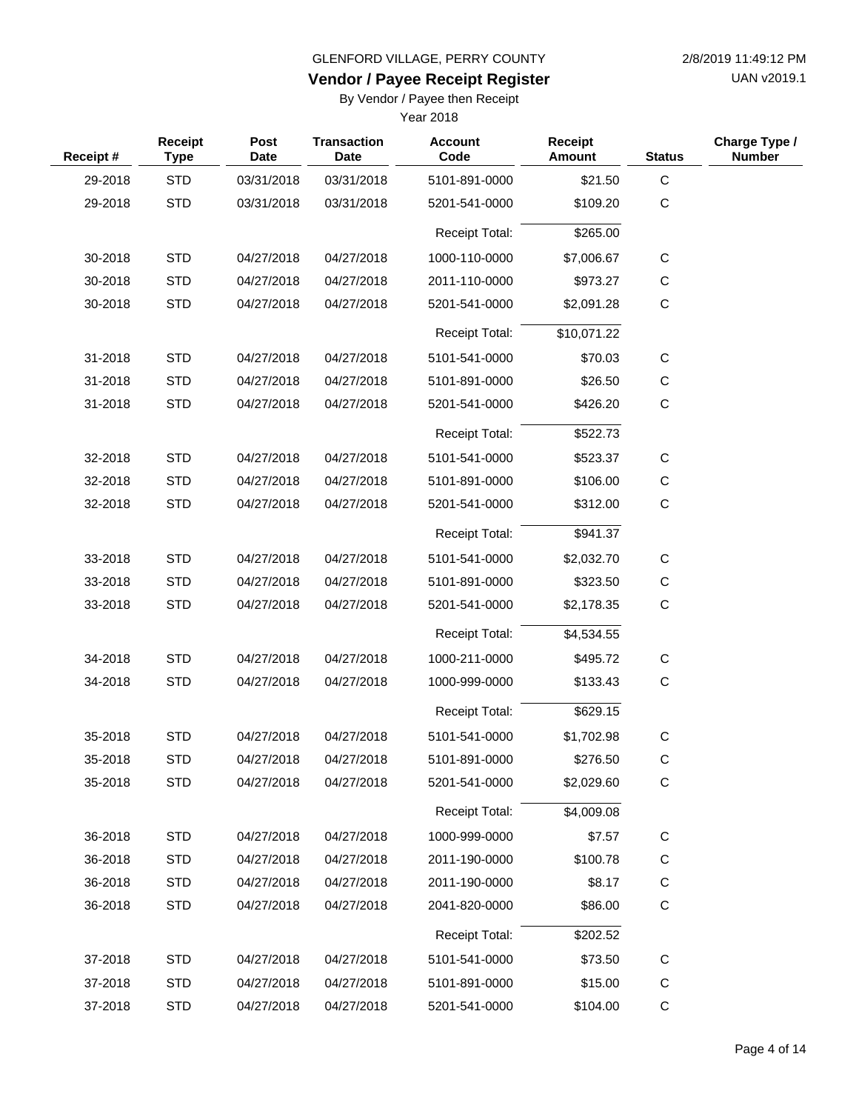**Vendor / Payee Receipt Register**

UAN v2019.1

By Vendor / Payee then Receipt

| Receipt# | Receipt<br><b>Type</b> | <b>Post</b><br><b>Date</b> | <b>Transaction</b><br><b>Date</b> | <b>Account</b><br>Code | <b>Receipt</b><br>Amount | <b>Status</b> | Charge Type /<br><b>Number</b> |
|----------|------------------------|----------------------------|-----------------------------------|------------------------|--------------------------|---------------|--------------------------------|
| 29-2018  | <b>STD</b>             | 03/31/2018                 | 03/31/2018                        | 5101-891-0000          | \$21.50                  | C             |                                |
| 29-2018  | <b>STD</b>             | 03/31/2018                 | 03/31/2018                        | 5201-541-0000          | \$109.20                 | $\mathsf C$   |                                |
|          |                        |                            |                                   | <b>Receipt Total:</b>  | \$265.00                 |               |                                |
| 30-2018  | <b>STD</b>             | 04/27/2018                 | 04/27/2018                        | 1000-110-0000          | \$7,006.67               | $\mathsf{C}$  |                                |
| 30-2018  | <b>STD</b>             | 04/27/2018                 | 04/27/2018                        | 2011-110-0000          | \$973.27                 | C             |                                |
| 30-2018  | <b>STD</b>             | 04/27/2018                 | 04/27/2018                        | 5201-541-0000          | \$2,091.28               | $\mathsf C$   |                                |
|          |                        |                            |                                   | <b>Receipt Total:</b>  | \$10,071.22              |               |                                |
| 31-2018  | <b>STD</b>             | 04/27/2018                 | 04/27/2018                        | 5101-541-0000          | \$70.03                  | C             |                                |
| 31-2018  | <b>STD</b>             | 04/27/2018                 | 04/27/2018                        | 5101-891-0000          | \$26.50                  | $\mathsf{C}$  |                                |
| 31-2018  | <b>STD</b>             | 04/27/2018                 | 04/27/2018                        | 5201-541-0000          | \$426.20                 | $\mathsf C$   |                                |
|          |                        |                            |                                   | <b>Receipt Total:</b>  | \$522.73                 |               |                                |
| 32-2018  | <b>STD</b>             | 04/27/2018                 | 04/27/2018                        | 5101-541-0000          | \$523.37                 | C             |                                |
| 32-2018  | <b>STD</b>             | 04/27/2018                 | 04/27/2018                        | 5101-891-0000          | \$106.00                 | C             |                                |
| 32-2018  | <b>STD</b>             | 04/27/2018                 | 04/27/2018                        | 5201-541-0000          | \$312.00                 | $\mathsf C$   |                                |
|          |                        |                            |                                   | <b>Receipt Total:</b>  | \$941.37                 |               |                                |
| 33-2018  | <b>STD</b>             | 04/27/2018                 | 04/27/2018                        | 5101-541-0000          | \$2,032.70               | C             |                                |
| 33-2018  | <b>STD</b>             | 04/27/2018                 | 04/27/2018                        | 5101-891-0000          | \$323.50                 | $\mathsf{C}$  |                                |
| 33-2018  | <b>STD</b>             | 04/27/2018                 | 04/27/2018                        | 5201-541-0000          | \$2,178.35               | $\mathsf C$   |                                |
|          |                        |                            |                                   | <b>Receipt Total:</b>  | \$4,534.55               |               |                                |
| 34-2018  | <b>STD</b>             | 04/27/2018                 | 04/27/2018                        | 1000-211-0000          | \$495.72                 | C             |                                |
| 34-2018  | <b>STD</b>             | 04/27/2018                 | 04/27/2018                        | 1000-999-0000          | \$133.43                 | $\mathsf C$   |                                |
|          |                        |                            |                                   | <b>Receipt Total:</b>  | \$629.15                 |               |                                |
| 35-2018  | <b>STD</b>             | 04/27/2018                 | 04/27/2018                        | 5101-541-0000          | \$1,702.98               | C             |                                |
| 35-2018  | <b>STD</b>             | 04/27/2018                 | 04/27/2018                        | 5101-891-0000          | \$276.50                 | C             |                                |
| 35-2018  | <b>STD</b>             | 04/27/2018                 | 04/27/2018                        | 5201-541-0000          | \$2,029.60               | $\mathsf C$   |                                |
|          |                        |                            |                                   | <b>Receipt Total:</b>  | \$4,009.08               |               |                                |
| 36-2018  | <b>STD</b>             | 04/27/2018                 | 04/27/2018                        | 1000-999-0000          | \$7.57                   | $\mathsf C$   |                                |
| 36-2018  | <b>STD</b>             | 04/27/2018                 | 04/27/2018                        | 2011-190-0000          | \$100.78                 | C             |                                |
| 36-2018  | <b>STD</b>             | 04/27/2018                 | 04/27/2018                        | 2011-190-0000          | \$8.17                   | C             |                                |
| 36-2018  | <b>STD</b>             | 04/27/2018                 | 04/27/2018                        | 2041-820-0000          | \$86.00                  | C             |                                |
|          |                        |                            |                                   | <b>Receipt Total:</b>  | \$202.52                 |               |                                |
| 37-2018  | <b>STD</b>             | 04/27/2018                 | 04/27/2018                        | 5101-541-0000          | \$73.50                  | C             |                                |
| 37-2018  | <b>STD</b>             | 04/27/2018                 | 04/27/2018                        | 5101-891-0000          | \$15.00                  | $\mathsf C$   |                                |
| 37-2018  | <b>STD</b>             | 04/27/2018                 | 04/27/2018                        | 5201-541-0000          | \$104.00                 | $\mathsf{C}$  |                                |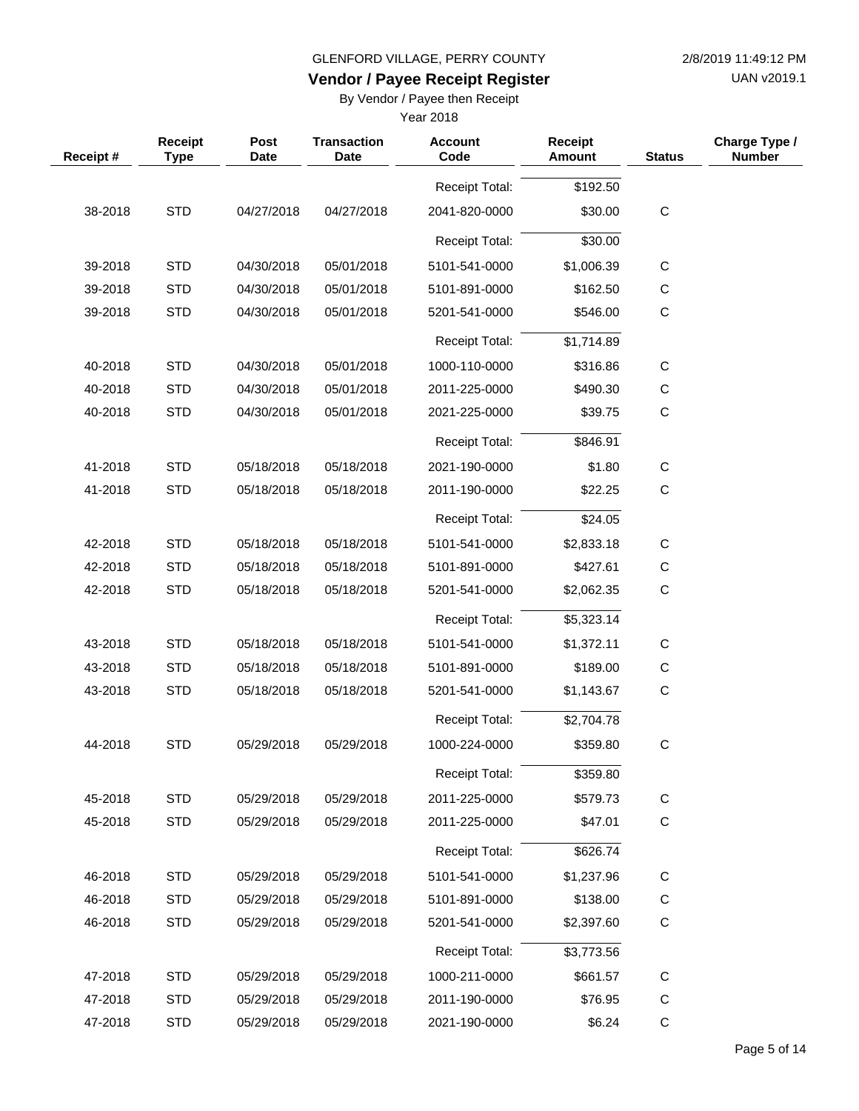UAN v2019.1

## **Vendor / Payee Receipt Register**

By Vendor / Payee then Receipt

| Receipt# | Receipt<br><b>Type</b> | Post<br><b>Date</b> | <b>Transaction</b><br><b>Date</b> | <b>Account</b><br>Code | <b>Receipt</b><br><b>Amount</b> | <b>Status</b> | Charge Type /<br><b>Number</b> |
|----------|------------------------|---------------------|-----------------------------------|------------------------|---------------------------------|---------------|--------------------------------|
|          |                        |                     |                                   | <b>Receipt Total:</b>  | \$192.50                        |               |                                |
| 38-2018  | <b>STD</b>             | 04/27/2018          | 04/27/2018                        | 2041-820-0000          | \$30.00                         | $\mathbf C$   |                                |
|          |                        |                     |                                   | <b>Receipt Total:</b>  | \$30.00                         |               |                                |
| 39-2018  | <b>STD</b>             | 04/30/2018          | 05/01/2018                        | 5101-541-0000          | \$1,006.39                      | $\mathsf{C}$  |                                |
| 39-2018  | <b>STD</b>             | 04/30/2018          | 05/01/2018                        | 5101-891-0000          | \$162.50                        | C             |                                |
| 39-2018  | <b>STD</b>             | 04/30/2018          | 05/01/2018                        | 5201-541-0000          | \$546.00                        | $\mathsf C$   |                                |
|          |                        |                     |                                   | <b>Receipt Total:</b>  | \$1,714.89                      |               |                                |
| 40-2018  | <b>STD</b>             | 04/30/2018          | 05/01/2018                        | 1000-110-0000          | \$316.86                        | C             |                                |
| 40-2018  | <b>STD</b>             | 04/30/2018          | 05/01/2018                        | 2011-225-0000          | \$490.30                        | $\mathsf C$   |                                |
| 40-2018  | <b>STD</b>             | 04/30/2018          | 05/01/2018                        | 2021-225-0000          | \$39.75                         | $\mathsf{C}$  |                                |
|          |                        |                     |                                   | <b>Receipt Total:</b>  | \$846.91                        |               |                                |
| 41-2018  | <b>STD</b>             | 05/18/2018          | 05/18/2018                        | 2021-190-0000          | \$1.80                          | C             |                                |
| 41-2018  | <b>STD</b>             | 05/18/2018          | 05/18/2018                        | 2011-190-0000          | \$22.25                         | $\mathsf C$   |                                |
|          |                        |                     |                                   | <b>Receipt Total:</b>  | \$24.05                         |               |                                |
| 42-2018  | <b>STD</b>             | 05/18/2018          | 05/18/2018                        | 5101-541-0000          | \$2,833.18                      | C             |                                |
| 42-2018  | <b>STD</b>             | 05/18/2018          | 05/18/2018                        | 5101-891-0000          | \$427.61                        | $\mathsf C$   |                                |
| 42-2018  | <b>STD</b>             | 05/18/2018          | 05/18/2018                        | 5201-541-0000          | \$2,062.35                      | $\mathsf C$   |                                |
|          |                        |                     |                                   | <b>Receipt Total:</b>  | \$5,323.14                      |               |                                |
| 43-2018  | <b>STD</b>             | 05/18/2018          | 05/18/2018                        | 5101-541-0000          | \$1,372.11                      | C             |                                |
| 43-2018  | <b>STD</b>             | 05/18/2018          | 05/18/2018                        | 5101-891-0000          | \$189.00                        | $\mathsf C$   |                                |
| 43-2018  | <b>STD</b>             | 05/18/2018          | 05/18/2018                        | 5201-541-0000          | \$1,143.67                      | $\mathsf C$   |                                |
|          |                        |                     |                                   | <b>Receipt Total:</b>  | \$2,704.78                      |               |                                |
| 44-2018  | <b>STD</b>             | 05/29/2018          | 05/29/2018                        | 1000-224-0000          | \$359.80                        | $\mathsf C$   |                                |
|          |                        |                     |                                   | Receipt Total:         | \$359.80                        |               |                                |
| 45-2018  | <b>STD</b>             | 05/29/2018          | 05/29/2018                        | 2011-225-0000          | \$579.73                        | $\mathsf C$   |                                |
| 45-2018  | <b>STD</b>             | 05/29/2018          | 05/29/2018                        | 2011-225-0000          | \$47.01                         | C             |                                |
|          |                        |                     |                                   | Receipt Total:         | \$626.74                        |               |                                |
| 46-2018  | <b>STD</b>             | 05/29/2018          | 05/29/2018                        | 5101-541-0000          | \$1,237.96                      | $\mathsf C$   |                                |
| 46-2018  | <b>STD</b>             | 05/29/2018          | 05/29/2018                        | 5101-891-0000          | \$138.00                        | C             |                                |
| 46-2018  | <b>STD</b>             | 05/29/2018          | 05/29/2018                        | 5201-541-0000          | \$2,397.60                      | C             |                                |
|          |                        |                     |                                   | Receipt Total:         | \$3,773.56                      |               |                                |
| 47-2018  | <b>STD</b>             | 05/29/2018          | 05/29/2018                        | 1000-211-0000          | \$661.57                        | C             |                                |
| 47-2018  | <b>STD</b>             | 05/29/2018          | 05/29/2018                        | 2011-190-0000          | \$76.95                         | $\mathsf C$   |                                |
| 47-2018  | <b>STD</b>             | 05/29/2018          | 05/29/2018                        | 2021-190-0000          | \$6.24                          | C             |                                |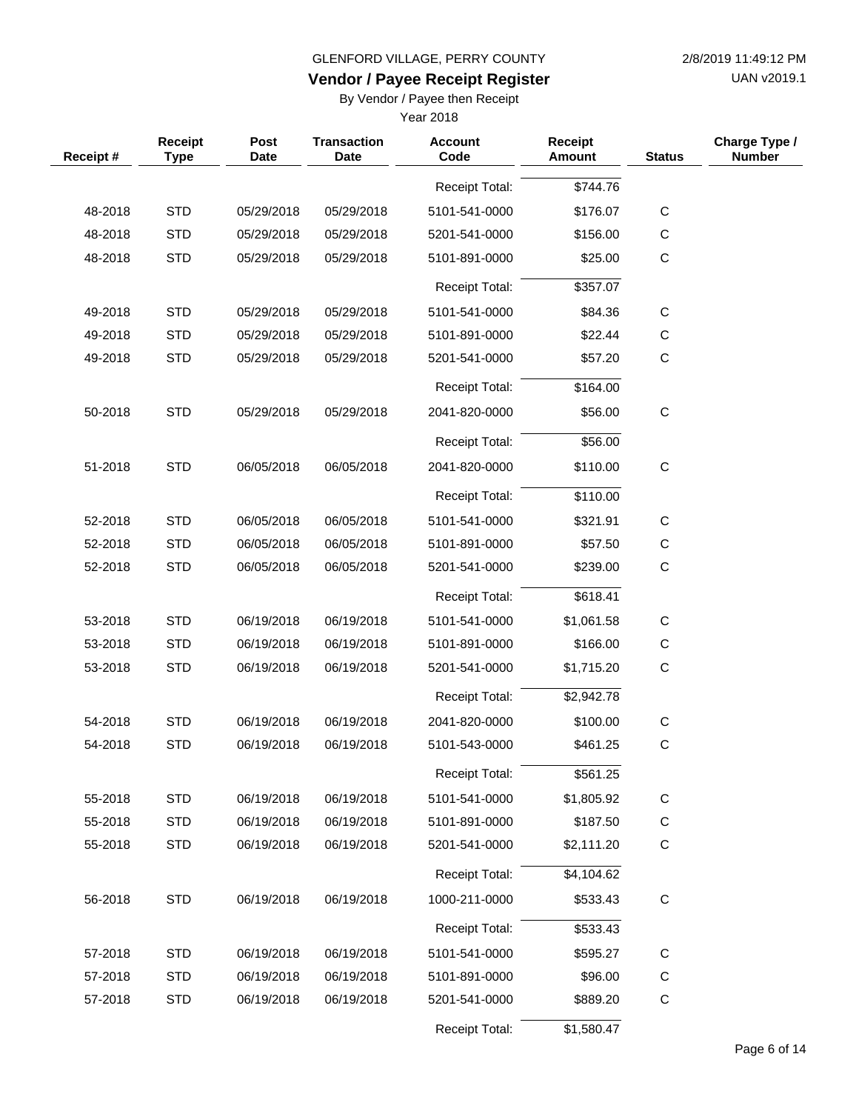UAN v2019.1

### **Vendor / Payee Receipt Register**

By Vendor / Payee then Receipt

| Receipt# | Receipt<br><b>Type</b> | Post<br><b>Date</b> | <b>Transaction</b><br><b>Date</b> | <b>Account</b><br>Code | <b>Receipt</b><br><b>Amount</b> | <b>Status</b> | Charge Type /<br><b>Number</b> |
|----------|------------------------|---------------------|-----------------------------------|------------------------|---------------------------------|---------------|--------------------------------|
|          |                        |                     |                                   | Receipt Total:         | \$744.76                        |               |                                |
| 48-2018  | <b>STD</b>             | 05/29/2018          | 05/29/2018                        | 5101-541-0000          | \$176.07                        | $\mathsf C$   |                                |
| 48-2018  | <b>STD</b>             | 05/29/2018          | 05/29/2018                        | 5201-541-0000          | \$156.00                        | $\mathsf C$   |                                |
| 48-2018  | <b>STD</b>             | 05/29/2018          | 05/29/2018                        | 5101-891-0000          | \$25.00                         | $\mathbf C$   |                                |
|          |                        |                     |                                   | <b>Receipt Total:</b>  | \$357.07                        |               |                                |
| 49-2018  | <b>STD</b>             | 05/29/2018          | 05/29/2018                        | 5101-541-0000          | \$84.36                         | $\mathsf C$   |                                |
| 49-2018  | <b>STD</b>             | 05/29/2018          | 05/29/2018                        | 5101-891-0000          | \$22.44                         | $\mathsf C$   |                                |
| 49-2018  | <b>STD</b>             | 05/29/2018          | 05/29/2018                        | 5201-541-0000          | \$57.20                         | $\mathbf C$   |                                |
|          |                        |                     |                                   |                        |                                 |               |                                |
|          |                        |                     |                                   | <b>Receipt Total:</b>  | \$164.00                        |               |                                |
| 50-2018  | <b>STD</b>             | 05/29/2018          | 05/29/2018                        | 2041-820-0000          | \$56.00                         | $\mathsf C$   |                                |
|          |                        |                     |                                   | <b>Receipt Total:</b>  | \$56.00                         |               |                                |
| 51-2018  | <b>STD</b>             | 06/05/2018          | 06/05/2018                        | 2041-820-0000          | \$110.00                        | $\mathsf C$   |                                |
|          |                        |                     |                                   | <b>Receipt Total:</b>  | \$110.00                        |               |                                |
| 52-2018  | <b>STD</b>             | 06/05/2018          | 06/05/2018                        | 5101-541-0000          | \$321.91                        | $\mathsf C$   |                                |
| 52-2018  | <b>STD</b>             | 06/05/2018          | 06/05/2018                        | 5101-891-0000          | \$57.50                         | С             |                                |
| 52-2018  | <b>STD</b>             | 06/05/2018          | 06/05/2018                        | 5201-541-0000          | \$239.00                        | $\mathsf C$   |                                |
|          |                        |                     |                                   | <b>Receipt Total:</b>  | \$618.41                        |               |                                |
| 53-2018  | <b>STD</b>             | 06/19/2018          | 06/19/2018                        | 5101-541-0000          | \$1,061.58                      | $\mathsf C$   |                                |
| 53-2018  | <b>STD</b>             | 06/19/2018          | 06/19/2018                        | 5101-891-0000          | \$166.00                        | С             |                                |
| 53-2018  | <b>STD</b>             | 06/19/2018          | 06/19/2018                        | 5201-541-0000          | \$1,715.20                      | $\mathsf C$   |                                |
|          |                        |                     |                                   | <b>Receipt Total:</b>  | \$2,942.78                      |               |                                |
| 54-2018  | <b>STD</b>             | 06/19/2018          | 06/19/2018                        | 2041-820-0000          | \$100.00                        | $\mathsf C$   |                                |
| 54-2018  | <b>STD</b>             | 06/19/2018          | 06/19/2018                        | 5101-543-0000          | \$461.25                        | $\mathsf C$   |                                |
|          |                        |                     |                                   | Receipt Total:         | \$561.25                        |               |                                |
| 55-2018  | <b>STD</b>             | 06/19/2018          | 06/19/2018                        | 5101-541-0000          | \$1,805.92                      | $\mathsf C$   |                                |
| 55-2018  | <b>STD</b>             | 06/19/2018          | 06/19/2018                        | 5101-891-0000          | \$187.50                        | $\mathsf C$   |                                |
| 55-2018  | <b>STD</b>             | 06/19/2018          | 06/19/2018                        | 5201-541-0000          | \$2,111.20                      | C             |                                |
|          |                        |                     |                                   | Receipt Total:         | \$4,104.62                      |               |                                |
| 56-2018  | <b>STD</b>             | 06/19/2018          | 06/19/2018                        | 1000-211-0000          | \$533.43                        | $\mathsf C$   |                                |
|          |                        |                     |                                   | Receipt Total:         | \$533.43                        |               |                                |
| 57-2018  | <b>STD</b>             | 06/19/2018          | 06/19/2018                        | 5101-541-0000          | \$595.27                        | $\mathsf C$   |                                |
| 57-2018  | <b>STD</b>             | 06/19/2018          | 06/19/2018                        | 5101-891-0000          | \$96.00                         | C             |                                |
| 57-2018  | <b>STD</b>             | 06/19/2018          | 06/19/2018                        | 5201-541-0000          | \$889.20                        | $\mathbf C$   |                                |
|          |                        |                     |                                   | Receipt Total:         | \$1,580.47                      |               |                                |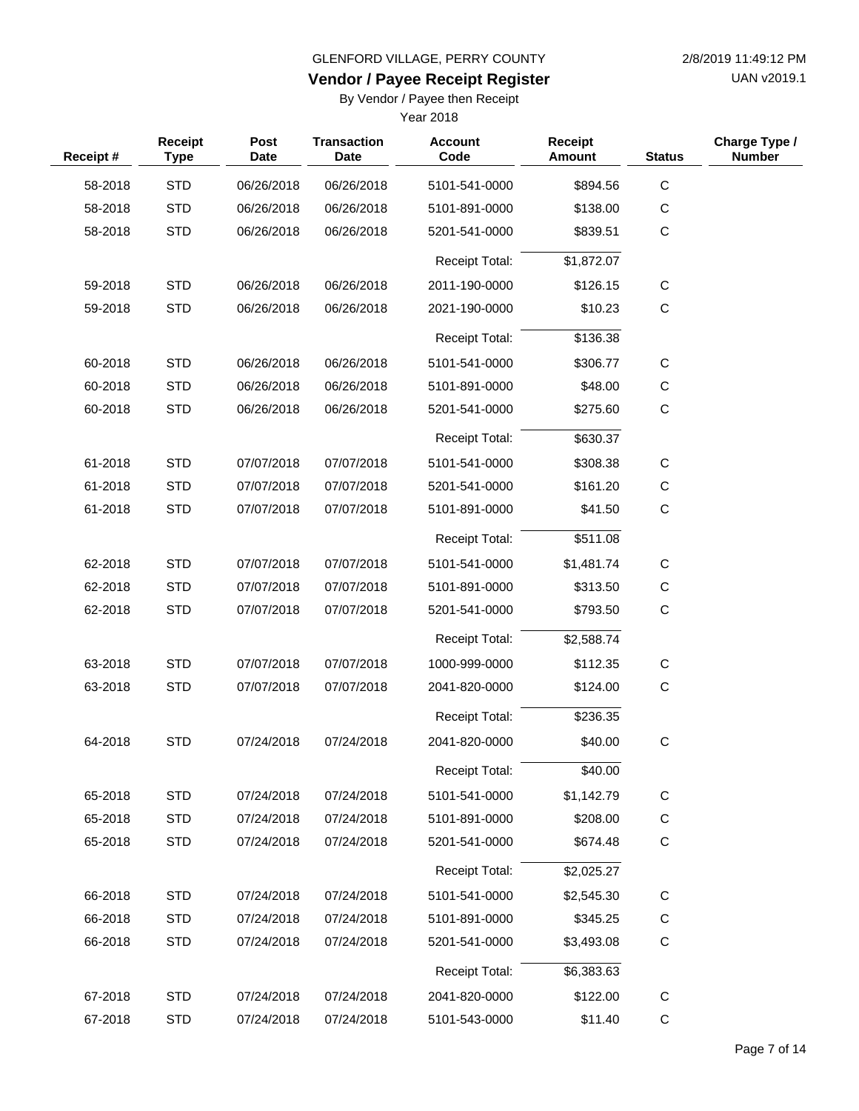UAN v2019.1

## **Vendor / Payee Receipt Register**

By Vendor / Payee then Receipt

| Receipt# | Receipt<br><b>Type</b> | Post<br><b>Date</b> | <b>Transaction</b><br><b>Date</b> | <b>Account</b><br>Code | <b>Receipt</b><br>Amount | <b>Status</b> | Charge Type /<br><b>Number</b> |
|----------|------------------------|---------------------|-----------------------------------|------------------------|--------------------------|---------------|--------------------------------|
| 58-2018  | <b>STD</b>             | 06/26/2018          | 06/26/2018                        | 5101-541-0000          | \$894.56                 | $\mathsf C$   |                                |
| 58-2018  | <b>STD</b>             | 06/26/2018          | 06/26/2018                        | 5101-891-0000          | \$138.00                 | C             |                                |
| 58-2018  | <b>STD</b>             | 06/26/2018          | 06/26/2018                        | 5201-541-0000          | \$839.51                 | $\mathbf C$   |                                |
|          |                        |                     |                                   | Receipt Total:         | \$1,872.07               |               |                                |
| 59-2018  | <b>STD</b>             | 06/26/2018          | 06/26/2018                        | 2011-190-0000          | \$126.15                 | С             |                                |
| 59-2018  | <b>STD</b>             | 06/26/2018          | 06/26/2018                        | 2021-190-0000          | \$10.23                  | $\mathbf C$   |                                |
|          |                        |                     |                                   | <b>Receipt Total:</b>  | \$136.38                 |               |                                |
| 60-2018  | <b>STD</b>             | 06/26/2018          | 06/26/2018                        | 5101-541-0000          | \$306.77                 | C             |                                |
| 60-2018  | <b>STD</b>             | 06/26/2018          | 06/26/2018                        | 5101-891-0000          | \$48.00                  | C             |                                |
| 60-2018  | <b>STD</b>             | 06/26/2018          | 06/26/2018                        | 5201-541-0000          | \$275.60                 | $\mathsf C$   |                                |
|          |                        |                     |                                   | <b>Receipt Total:</b>  | \$630.37                 |               |                                |
| 61-2018  | <b>STD</b>             | 07/07/2018          | 07/07/2018                        | 5101-541-0000          | \$308.38                 | C             |                                |
| 61-2018  | <b>STD</b>             | 07/07/2018          | 07/07/2018                        | 5201-541-0000          | \$161.20                 | C             |                                |
| 61-2018  | <b>STD</b>             | 07/07/2018          | 07/07/2018                        | 5101-891-0000          | \$41.50                  | $\mathbf C$   |                                |
|          |                        |                     |                                   | <b>Receipt Total:</b>  | \$511.08                 |               |                                |
| 62-2018  | <b>STD</b>             | 07/07/2018          | 07/07/2018                        | 5101-541-0000          | \$1,481.74               | $\mathsf C$   |                                |
| 62-2018  | <b>STD</b>             | 07/07/2018          | 07/07/2018                        | 5101-891-0000          | \$313.50                 | $\mathsf C$   |                                |
| 62-2018  | <b>STD</b>             | 07/07/2018          | 07/07/2018                        | 5201-541-0000          | \$793.50                 | $\mathbf C$   |                                |
|          |                        |                     |                                   | <b>Receipt Total:</b>  | \$2,588.74               |               |                                |
| 63-2018  | <b>STD</b>             | 07/07/2018          | 07/07/2018                        | 1000-999-0000          | \$112.35                 | $\mathbf C$   |                                |
| 63-2018  | <b>STD</b>             | 07/07/2018          | 07/07/2018                        | 2041-820-0000          | \$124.00                 | $\mathsf C$   |                                |
|          |                        |                     |                                   | <b>Receipt Total:</b>  | \$236.35                 |               |                                |
| 64-2018  | <b>STD</b>             | 07/24/2018          | 07/24/2018                        | 2041-820-0000          | \$40.00                  | $\mathsf C$   |                                |
|          |                        |                     |                                   | Receipt Total:         | \$40.00                  |               |                                |
| 65-2018  | <b>STD</b>             | 07/24/2018          | 07/24/2018                        | 5101-541-0000          | \$1,142.79               | $\mathsf C$   |                                |
| 65-2018  | <b>STD</b>             | 07/24/2018          | 07/24/2018                        | 5101-891-0000          | \$208.00                 | $\mathsf C$   |                                |
| 65-2018  | <b>STD</b>             | 07/24/2018          | 07/24/2018                        | 5201-541-0000          | \$674.48                 | $\mathsf C$   |                                |
|          |                        |                     |                                   | <b>Receipt Total:</b>  | \$2,025.27               |               |                                |
| 66-2018  | <b>STD</b>             | 07/24/2018          | 07/24/2018                        | 5101-541-0000          | \$2,545.30               | C             |                                |
| 66-2018  | <b>STD</b>             | 07/24/2018          | 07/24/2018                        | 5101-891-0000          | \$345.25                 | C             |                                |
| 66-2018  | <b>STD</b>             | 07/24/2018          | 07/24/2018                        | 5201-541-0000          | \$3,493.08               | $\mathsf C$   |                                |
|          |                        |                     |                                   | <b>Receipt Total:</b>  | \$6,383.63               |               |                                |
| 67-2018  | <b>STD</b>             | 07/24/2018          | 07/24/2018                        | 2041-820-0000          | \$122.00                 | $\mathsf{C}$  |                                |
| 67-2018  | <b>STD</b>             | 07/24/2018          | 07/24/2018                        | 5101-543-0000          | \$11.40                  | $\mathbf C$   |                                |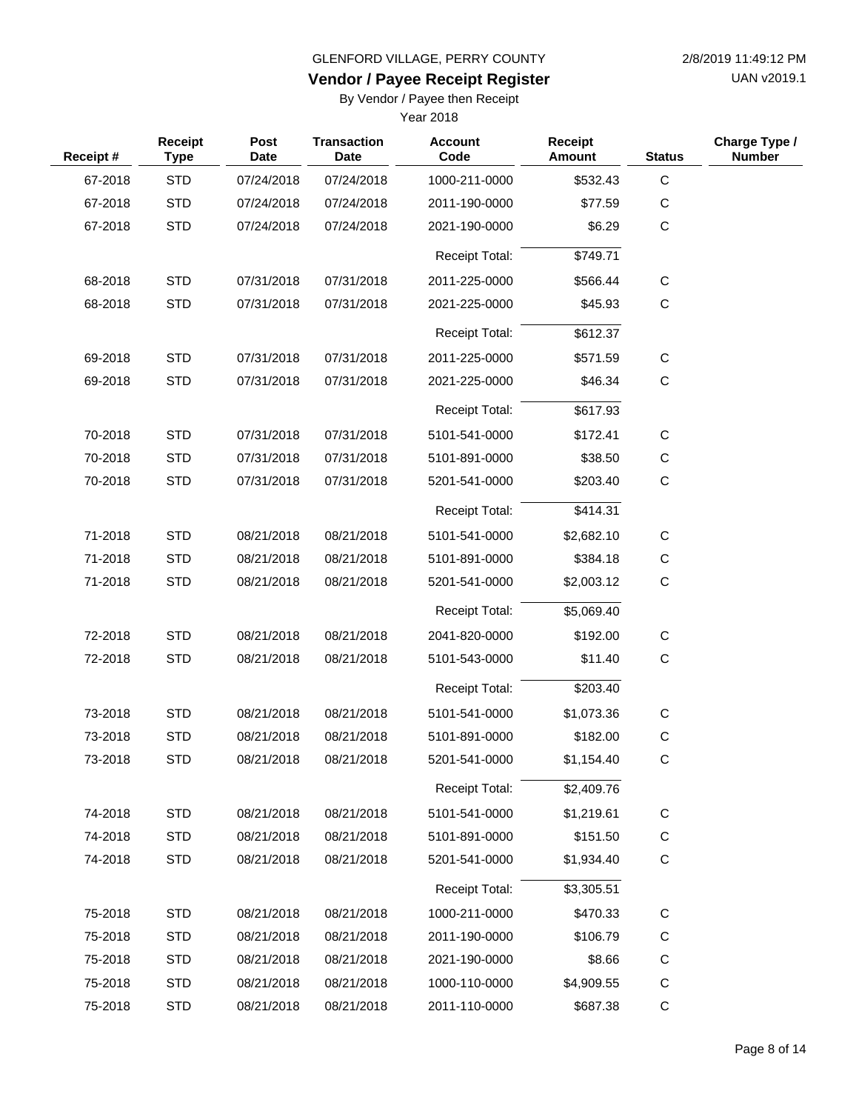UAN v2019.1

## **Vendor / Payee Receipt Register**

By Vendor / Payee then Receipt

| Receipt# | Receipt<br><b>Type</b> | Post<br><b>Date</b> | <b>Transaction</b><br>Date | <b>Account</b><br>Code | <b>Receipt</b><br><b>Amount</b> | <b>Status</b> | Charge Type /<br><b>Number</b> |
|----------|------------------------|---------------------|----------------------------|------------------------|---------------------------------|---------------|--------------------------------|
| 67-2018  | <b>STD</b>             | 07/24/2018          | 07/24/2018                 | 1000-211-0000          | \$532.43                        | $\mathbf C$   |                                |
| 67-2018  | <b>STD</b>             | 07/24/2018          | 07/24/2018                 | 2011-190-0000          | \$77.59                         | C             |                                |
| 67-2018  | <b>STD</b>             | 07/24/2018          | 07/24/2018                 | 2021-190-0000          | \$6.29                          | C             |                                |
|          |                        |                     |                            | <b>Receipt Total:</b>  | \$749.71                        |               |                                |
| 68-2018  | <b>STD</b>             | 07/31/2018          | 07/31/2018                 | 2011-225-0000          | \$566.44                        | C             |                                |
| 68-2018  | <b>STD</b>             | 07/31/2018          | 07/31/2018                 | 2021-225-0000          | \$45.93                         | $\mathbf C$   |                                |
|          |                        |                     |                            | <b>Receipt Total:</b>  | \$612.37                        |               |                                |
| 69-2018  | <b>STD</b>             | 07/31/2018          | 07/31/2018                 | 2011-225-0000          | \$571.59                        | $\mathsf{C}$  |                                |
| 69-2018  | <b>STD</b>             | 07/31/2018          | 07/31/2018                 | 2021-225-0000          | \$46.34                         | C             |                                |
|          |                        |                     |                            | <b>Receipt Total:</b>  | \$617.93                        |               |                                |
| 70-2018  | <b>STD</b>             | 07/31/2018          | 07/31/2018                 | 5101-541-0000          | \$172.41                        | C             |                                |
| 70-2018  | <b>STD</b>             | 07/31/2018          | 07/31/2018                 | 5101-891-0000          | \$38.50                         | С             |                                |
| 70-2018  | <b>STD</b>             | 07/31/2018          | 07/31/2018                 | 5201-541-0000          | \$203.40                        | $\mathbf C$   |                                |
|          |                        |                     |                            | <b>Receipt Total:</b>  | \$414.31                        |               |                                |
| 71-2018  | <b>STD</b>             | 08/21/2018          | 08/21/2018                 | 5101-541-0000          | \$2,682.10                      | $\mathsf{C}$  |                                |
| 71-2018  | <b>STD</b>             | 08/21/2018          | 08/21/2018                 | 5101-891-0000          | \$384.18                        | C             |                                |
| 71-2018  | <b>STD</b>             | 08/21/2018          | 08/21/2018                 | 5201-541-0000          | \$2,003.12                      | C             |                                |
|          |                        |                     |                            | <b>Receipt Total:</b>  | \$5,069.40                      |               |                                |
| 72-2018  | <b>STD</b>             | 08/21/2018          | 08/21/2018                 | 2041-820-0000          | \$192.00                        | C             |                                |
| 72-2018  | <b>STD</b>             | 08/21/2018          | 08/21/2018                 | 5101-543-0000          | \$11.40                         | C             |                                |
|          |                        |                     |                            | <b>Receipt Total:</b>  | \$203.40                        |               |                                |
| 73-2018  | <b>STD</b>             | 08/21/2018          | 08/21/2018                 | 5101-541-0000          | \$1,073.36                      | C             |                                |
| 73-2018  | <b>STD</b>             | 08/21/2018          | 08/21/2018                 | 5101-891-0000          | \$182.00                        | С             |                                |
| 73-2018  | <b>STD</b>             | 08/21/2018          | 08/21/2018                 | 5201-541-0000          | \$1,154.40                      | С             |                                |
|          |                        |                     |                            | <b>Receipt Total:</b>  | \$2,409.76                      |               |                                |
| 74-2018  | <b>STD</b>             | 08/21/2018          | 08/21/2018                 | 5101-541-0000          | \$1,219.61                      | C             |                                |
| 74-2018  | <b>STD</b>             | 08/21/2018          | 08/21/2018                 | 5101-891-0000          | \$151.50                        | $\mathsf{C}$  |                                |
| 74-2018  | <b>STD</b>             | 08/21/2018          | 08/21/2018                 | 5201-541-0000          | \$1,934.40                      | C             |                                |
|          |                        |                     |                            | <b>Receipt Total:</b>  | \$3,305.51                      |               |                                |
| 75-2018  | <b>STD</b>             | 08/21/2018          | 08/21/2018                 | 1000-211-0000          | \$470.33                        | $\mathsf{C}$  |                                |
| 75-2018  | <b>STD</b>             | 08/21/2018          | 08/21/2018                 | 2011-190-0000          | \$106.79                        | C             |                                |
| 75-2018  | <b>STD</b>             | 08/21/2018          | 08/21/2018                 | 2021-190-0000          | \$8.66                          | C             |                                |
| 75-2018  | <b>STD</b>             | 08/21/2018          | 08/21/2018                 | 1000-110-0000          | \$4,909.55                      | C             |                                |
| 75-2018  | <b>STD</b>             | 08/21/2018          | 08/21/2018                 | 2011-110-0000          | \$687.38                        | С             |                                |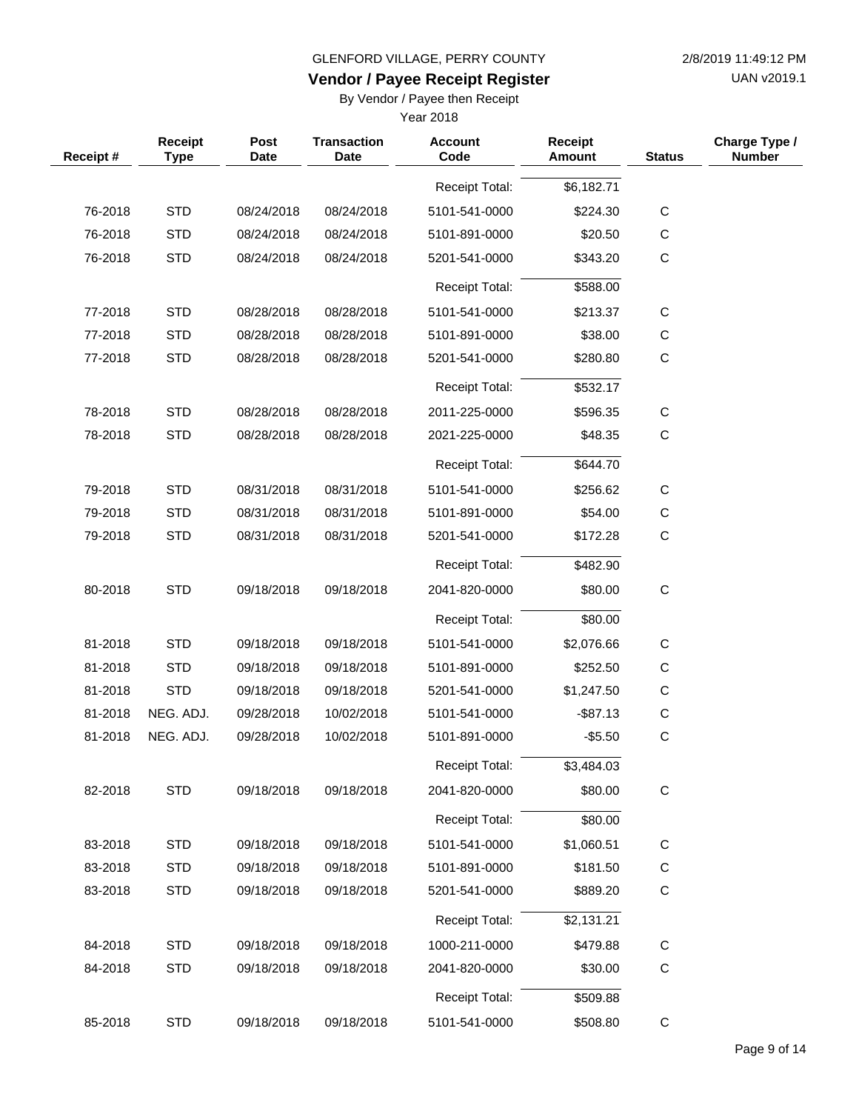UAN v2019.1

# **Vendor / Payee Receipt Register**

By Vendor / Payee then Receipt

| Receipt Total:<br>\$6,182.71<br>$\mathsf C$<br>76-2018<br><b>STD</b><br>08/24/2018<br>5101-541-0000<br>\$224.30<br>08/24/2018<br>$\mathsf C$<br>76-2018<br><b>STD</b><br>08/24/2018<br>08/24/2018<br>5101-891-0000<br>\$20.50<br><b>STD</b><br>$\mathsf{C}$<br>76-2018<br>08/24/2018<br>08/24/2018<br>5201-541-0000<br>\$343.20<br>\$588.00<br><b>Receipt Total:</b><br><b>STD</b><br>77-2018<br>08/28/2018<br>\$213.37<br>$\mathsf C$<br>08/28/2018<br>5101-541-0000<br>$\mathsf C$<br>77-2018<br><b>STD</b><br>08/28/2018<br>08/28/2018<br>5101-891-0000<br>\$38.00<br><b>STD</b><br>$\mathbf C$<br>77-2018<br>08/28/2018<br>08/28/2018<br>5201-541-0000<br>\$280.80<br>\$532.17<br><b>Receipt Total:</b><br><b>STD</b><br>78-2018<br>08/28/2018<br>08/28/2018<br>2011-225-0000<br>\$596.35<br>$\mathsf C$<br>78-2018<br><b>STD</b><br>08/28/2018<br>08/28/2018<br>$\mathsf C$<br>2021-225-0000<br>\$48.35<br>\$644.70<br><b>Receipt Total:</b><br>$\mathsf C$<br>79-2018<br><b>STD</b><br>08/31/2018<br>08/31/2018<br>\$256.62<br>5101-541-0000<br>79-2018<br><b>STD</b><br>08/31/2018<br>08/31/2018<br>5101-891-0000<br>С<br>\$54.00<br>79-2018<br><b>STD</b><br>08/31/2018<br>08/31/2018<br>С<br>5201-541-0000<br>\$172.28<br>\$482.90<br><b>Receipt Total:</b><br><b>STD</b><br>$\mathsf C$<br>80-2018<br>09/18/2018<br>09/18/2018<br>\$80.00<br>2041-820-0000<br>\$80.00<br><b>Receipt Total:</b><br><b>STD</b><br>81-2018<br>09/18/2018<br>09/18/2018<br>\$2,076.66<br>C<br>5101-541-0000<br>$\mathsf C$<br>81-2018<br><b>STD</b><br>09/18/2018<br>\$252.50<br>09/18/2018<br>5101-891-0000<br><b>STD</b><br>$\mathsf{C}$<br>81-2018<br>09/18/2018<br>09/18/2018<br>\$1,247.50<br>5201-541-0000<br>81-2018<br>10/02/2018<br>$-$ \$87.13<br>С<br>NEG. ADJ.<br>09/28/2018<br>5101-541-0000<br>$\mathsf C$<br>81-2018<br>NEG. ADJ.<br>09/28/2018<br>10/02/2018<br>5101-891-0000<br>$-$5.50$<br>Receipt Total:<br>\$3,484.03<br>$\mathsf C$<br>82-2018<br><b>STD</b><br>09/18/2018<br>09/18/2018<br>2041-820-0000<br>\$80.00<br>\$80.00<br><b>Receipt Total:</b><br>83-2018<br><b>STD</b><br>09/18/2018<br>09/18/2018<br>5101-541-0000<br>\$1,060.51<br>C<br>$\mathsf C$<br><b>STD</b><br>83-2018<br>09/18/2018<br>09/18/2018<br>5101-891-0000<br>\$181.50<br><b>STD</b><br>$\mathsf C$<br>83-2018<br>09/18/2018<br>09/18/2018<br>5201-541-0000<br>\$889.20<br>Receipt Total:<br>\$2,131.21<br>84-2018<br><b>STD</b><br>09/18/2018<br>09/18/2018<br>1000-211-0000<br>\$479.88<br>C<br>$\mathsf C$<br>84-2018<br><b>STD</b><br>09/18/2018<br>09/18/2018<br>\$30.00<br>2041-820-0000<br>\$509.88<br>Receipt Total:<br><b>STD</b><br>$\mathsf C$<br>85-2018<br>09/18/2018<br>09/18/2018<br>\$508.80<br>5101-541-0000 | Receipt# | Receipt<br><b>Type</b> | Post<br>Date | <b>Transaction</b><br><b>Date</b> | <b>Account</b><br>Code | <b>Receipt</b><br>Amount | <b>Status</b> | Charge Type /<br><b>Number</b> |
|----------------------------------------------------------------------------------------------------------------------------------------------------------------------------------------------------------------------------------------------------------------------------------------------------------------------------------------------------------------------------------------------------------------------------------------------------------------------------------------------------------------------------------------------------------------------------------------------------------------------------------------------------------------------------------------------------------------------------------------------------------------------------------------------------------------------------------------------------------------------------------------------------------------------------------------------------------------------------------------------------------------------------------------------------------------------------------------------------------------------------------------------------------------------------------------------------------------------------------------------------------------------------------------------------------------------------------------------------------------------------------------------------------------------------------------------------------------------------------------------------------------------------------------------------------------------------------------------------------------------------------------------------------------------------------------------------------------------------------------------------------------------------------------------------------------------------------------------------------------------------------------------------------------------------------------------------------------------------------------------------------------------------------------------------------------------------------------------------------------------------------------------------------------------------------------------------------------------------------------------------------------------------------------------------------------------------------------------------------------------------------------------------------------------------------------------------------------------------------------------------------------------------------------------------------------------------------------------------------------------------------------------------------------------------------------------------------------------|----------|------------------------|--------------|-----------------------------------|------------------------|--------------------------|---------------|--------------------------------|
|                                                                                                                                                                                                                                                                                                                                                                                                                                                                                                                                                                                                                                                                                                                                                                                                                                                                                                                                                                                                                                                                                                                                                                                                                                                                                                                                                                                                                                                                                                                                                                                                                                                                                                                                                                                                                                                                                                                                                                                                                                                                                                                                                                                                                                                                                                                                                                                                                                                                                                                                                                                                                                                                                                                      |          |                        |              |                                   |                        |                          |               |                                |
|                                                                                                                                                                                                                                                                                                                                                                                                                                                                                                                                                                                                                                                                                                                                                                                                                                                                                                                                                                                                                                                                                                                                                                                                                                                                                                                                                                                                                                                                                                                                                                                                                                                                                                                                                                                                                                                                                                                                                                                                                                                                                                                                                                                                                                                                                                                                                                                                                                                                                                                                                                                                                                                                                                                      |          |                        |              |                                   |                        |                          |               |                                |
|                                                                                                                                                                                                                                                                                                                                                                                                                                                                                                                                                                                                                                                                                                                                                                                                                                                                                                                                                                                                                                                                                                                                                                                                                                                                                                                                                                                                                                                                                                                                                                                                                                                                                                                                                                                                                                                                                                                                                                                                                                                                                                                                                                                                                                                                                                                                                                                                                                                                                                                                                                                                                                                                                                                      |          |                        |              |                                   |                        |                          |               |                                |
|                                                                                                                                                                                                                                                                                                                                                                                                                                                                                                                                                                                                                                                                                                                                                                                                                                                                                                                                                                                                                                                                                                                                                                                                                                                                                                                                                                                                                                                                                                                                                                                                                                                                                                                                                                                                                                                                                                                                                                                                                                                                                                                                                                                                                                                                                                                                                                                                                                                                                                                                                                                                                                                                                                                      |          |                        |              |                                   |                        |                          |               |                                |
|                                                                                                                                                                                                                                                                                                                                                                                                                                                                                                                                                                                                                                                                                                                                                                                                                                                                                                                                                                                                                                                                                                                                                                                                                                                                                                                                                                                                                                                                                                                                                                                                                                                                                                                                                                                                                                                                                                                                                                                                                                                                                                                                                                                                                                                                                                                                                                                                                                                                                                                                                                                                                                                                                                                      |          |                        |              |                                   |                        |                          |               |                                |
|                                                                                                                                                                                                                                                                                                                                                                                                                                                                                                                                                                                                                                                                                                                                                                                                                                                                                                                                                                                                                                                                                                                                                                                                                                                                                                                                                                                                                                                                                                                                                                                                                                                                                                                                                                                                                                                                                                                                                                                                                                                                                                                                                                                                                                                                                                                                                                                                                                                                                                                                                                                                                                                                                                                      |          |                        |              |                                   |                        |                          |               |                                |
|                                                                                                                                                                                                                                                                                                                                                                                                                                                                                                                                                                                                                                                                                                                                                                                                                                                                                                                                                                                                                                                                                                                                                                                                                                                                                                                                                                                                                                                                                                                                                                                                                                                                                                                                                                                                                                                                                                                                                                                                                                                                                                                                                                                                                                                                                                                                                                                                                                                                                                                                                                                                                                                                                                                      |          |                        |              |                                   |                        |                          |               |                                |
|                                                                                                                                                                                                                                                                                                                                                                                                                                                                                                                                                                                                                                                                                                                                                                                                                                                                                                                                                                                                                                                                                                                                                                                                                                                                                                                                                                                                                                                                                                                                                                                                                                                                                                                                                                                                                                                                                                                                                                                                                                                                                                                                                                                                                                                                                                                                                                                                                                                                                                                                                                                                                                                                                                                      |          |                        |              |                                   |                        |                          |               |                                |
|                                                                                                                                                                                                                                                                                                                                                                                                                                                                                                                                                                                                                                                                                                                                                                                                                                                                                                                                                                                                                                                                                                                                                                                                                                                                                                                                                                                                                                                                                                                                                                                                                                                                                                                                                                                                                                                                                                                                                                                                                                                                                                                                                                                                                                                                                                                                                                                                                                                                                                                                                                                                                                                                                                                      |          |                        |              |                                   |                        |                          |               |                                |
|                                                                                                                                                                                                                                                                                                                                                                                                                                                                                                                                                                                                                                                                                                                                                                                                                                                                                                                                                                                                                                                                                                                                                                                                                                                                                                                                                                                                                                                                                                                                                                                                                                                                                                                                                                                                                                                                                                                                                                                                                                                                                                                                                                                                                                                                                                                                                                                                                                                                                                                                                                                                                                                                                                                      |          |                        |              |                                   |                        |                          |               |                                |
|                                                                                                                                                                                                                                                                                                                                                                                                                                                                                                                                                                                                                                                                                                                                                                                                                                                                                                                                                                                                                                                                                                                                                                                                                                                                                                                                                                                                                                                                                                                                                                                                                                                                                                                                                                                                                                                                                                                                                                                                                                                                                                                                                                                                                                                                                                                                                                                                                                                                                                                                                                                                                                                                                                                      |          |                        |              |                                   |                        |                          |               |                                |
|                                                                                                                                                                                                                                                                                                                                                                                                                                                                                                                                                                                                                                                                                                                                                                                                                                                                                                                                                                                                                                                                                                                                                                                                                                                                                                                                                                                                                                                                                                                                                                                                                                                                                                                                                                                                                                                                                                                                                                                                                                                                                                                                                                                                                                                                                                                                                                                                                                                                                                                                                                                                                                                                                                                      |          |                        |              |                                   |                        |                          |               |                                |
|                                                                                                                                                                                                                                                                                                                                                                                                                                                                                                                                                                                                                                                                                                                                                                                                                                                                                                                                                                                                                                                                                                                                                                                                                                                                                                                                                                                                                                                                                                                                                                                                                                                                                                                                                                                                                                                                                                                                                                                                                                                                                                                                                                                                                                                                                                                                                                                                                                                                                                                                                                                                                                                                                                                      |          |                        |              |                                   |                        |                          |               |                                |
|                                                                                                                                                                                                                                                                                                                                                                                                                                                                                                                                                                                                                                                                                                                                                                                                                                                                                                                                                                                                                                                                                                                                                                                                                                                                                                                                                                                                                                                                                                                                                                                                                                                                                                                                                                                                                                                                                                                                                                                                                                                                                                                                                                                                                                                                                                                                                                                                                                                                                                                                                                                                                                                                                                                      |          |                        |              |                                   |                        |                          |               |                                |
|                                                                                                                                                                                                                                                                                                                                                                                                                                                                                                                                                                                                                                                                                                                                                                                                                                                                                                                                                                                                                                                                                                                                                                                                                                                                                                                                                                                                                                                                                                                                                                                                                                                                                                                                                                                                                                                                                                                                                                                                                                                                                                                                                                                                                                                                                                                                                                                                                                                                                                                                                                                                                                                                                                                      |          |                        |              |                                   |                        |                          |               |                                |
|                                                                                                                                                                                                                                                                                                                                                                                                                                                                                                                                                                                                                                                                                                                                                                                                                                                                                                                                                                                                                                                                                                                                                                                                                                                                                                                                                                                                                                                                                                                                                                                                                                                                                                                                                                                                                                                                                                                                                                                                                                                                                                                                                                                                                                                                                                                                                                                                                                                                                                                                                                                                                                                                                                                      |          |                        |              |                                   |                        |                          |               |                                |
|                                                                                                                                                                                                                                                                                                                                                                                                                                                                                                                                                                                                                                                                                                                                                                                                                                                                                                                                                                                                                                                                                                                                                                                                                                                                                                                                                                                                                                                                                                                                                                                                                                                                                                                                                                                                                                                                                                                                                                                                                                                                                                                                                                                                                                                                                                                                                                                                                                                                                                                                                                                                                                                                                                                      |          |                        |              |                                   |                        |                          |               |                                |
|                                                                                                                                                                                                                                                                                                                                                                                                                                                                                                                                                                                                                                                                                                                                                                                                                                                                                                                                                                                                                                                                                                                                                                                                                                                                                                                                                                                                                                                                                                                                                                                                                                                                                                                                                                                                                                                                                                                                                                                                                                                                                                                                                                                                                                                                                                                                                                                                                                                                                                                                                                                                                                                                                                                      |          |                        |              |                                   |                        |                          |               |                                |
|                                                                                                                                                                                                                                                                                                                                                                                                                                                                                                                                                                                                                                                                                                                                                                                                                                                                                                                                                                                                                                                                                                                                                                                                                                                                                                                                                                                                                                                                                                                                                                                                                                                                                                                                                                                                                                                                                                                                                                                                                                                                                                                                                                                                                                                                                                                                                                                                                                                                                                                                                                                                                                                                                                                      |          |                        |              |                                   |                        |                          |               |                                |
|                                                                                                                                                                                                                                                                                                                                                                                                                                                                                                                                                                                                                                                                                                                                                                                                                                                                                                                                                                                                                                                                                                                                                                                                                                                                                                                                                                                                                                                                                                                                                                                                                                                                                                                                                                                                                                                                                                                                                                                                                                                                                                                                                                                                                                                                                                                                                                                                                                                                                                                                                                                                                                                                                                                      |          |                        |              |                                   |                        |                          |               |                                |
|                                                                                                                                                                                                                                                                                                                                                                                                                                                                                                                                                                                                                                                                                                                                                                                                                                                                                                                                                                                                                                                                                                                                                                                                                                                                                                                                                                                                                                                                                                                                                                                                                                                                                                                                                                                                                                                                                                                                                                                                                                                                                                                                                                                                                                                                                                                                                                                                                                                                                                                                                                                                                                                                                                                      |          |                        |              |                                   |                        |                          |               |                                |
|                                                                                                                                                                                                                                                                                                                                                                                                                                                                                                                                                                                                                                                                                                                                                                                                                                                                                                                                                                                                                                                                                                                                                                                                                                                                                                                                                                                                                                                                                                                                                                                                                                                                                                                                                                                                                                                                                                                                                                                                                                                                                                                                                                                                                                                                                                                                                                                                                                                                                                                                                                                                                                                                                                                      |          |                        |              |                                   |                        |                          |               |                                |
|                                                                                                                                                                                                                                                                                                                                                                                                                                                                                                                                                                                                                                                                                                                                                                                                                                                                                                                                                                                                                                                                                                                                                                                                                                                                                                                                                                                                                                                                                                                                                                                                                                                                                                                                                                                                                                                                                                                                                                                                                                                                                                                                                                                                                                                                                                                                                                                                                                                                                                                                                                                                                                                                                                                      |          |                        |              |                                   |                        |                          |               |                                |
|                                                                                                                                                                                                                                                                                                                                                                                                                                                                                                                                                                                                                                                                                                                                                                                                                                                                                                                                                                                                                                                                                                                                                                                                                                                                                                                                                                                                                                                                                                                                                                                                                                                                                                                                                                                                                                                                                                                                                                                                                                                                                                                                                                                                                                                                                                                                                                                                                                                                                                                                                                                                                                                                                                                      |          |                        |              |                                   |                        |                          |               |                                |
|                                                                                                                                                                                                                                                                                                                                                                                                                                                                                                                                                                                                                                                                                                                                                                                                                                                                                                                                                                                                                                                                                                                                                                                                                                                                                                                                                                                                                                                                                                                                                                                                                                                                                                                                                                                                                                                                                                                                                                                                                                                                                                                                                                                                                                                                                                                                                                                                                                                                                                                                                                                                                                                                                                                      |          |                        |              |                                   |                        |                          |               |                                |
|                                                                                                                                                                                                                                                                                                                                                                                                                                                                                                                                                                                                                                                                                                                                                                                                                                                                                                                                                                                                                                                                                                                                                                                                                                                                                                                                                                                                                                                                                                                                                                                                                                                                                                                                                                                                                                                                                                                                                                                                                                                                                                                                                                                                                                                                                                                                                                                                                                                                                                                                                                                                                                                                                                                      |          |                        |              |                                   |                        |                          |               |                                |
|                                                                                                                                                                                                                                                                                                                                                                                                                                                                                                                                                                                                                                                                                                                                                                                                                                                                                                                                                                                                                                                                                                                                                                                                                                                                                                                                                                                                                                                                                                                                                                                                                                                                                                                                                                                                                                                                                                                                                                                                                                                                                                                                                                                                                                                                                                                                                                                                                                                                                                                                                                                                                                                                                                                      |          |                        |              |                                   |                        |                          |               |                                |
|                                                                                                                                                                                                                                                                                                                                                                                                                                                                                                                                                                                                                                                                                                                                                                                                                                                                                                                                                                                                                                                                                                                                                                                                                                                                                                                                                                                                                                                                                                                                                                                                                                                                                                                                                                                                                                                                                                                                                                                                                                                                                                                                                                                                                                                                                                                                                                                                                                                                                                                                                                                                                                                                                                                      |          |                        |              |                                   |                        |                          |               |                                |
|                                                                                                                                                                                                                                                                                                                                                                                                                                                                                                                                                                                                                                                                                                                                                                                                                                                                                                                                                                                                                                                                                                                                                                                                                                                                                                                                                                                                                                                                                                                                                                                                                                                                                                                                                                                                                                                                                                                                                                                                                                                                                                                                                                                                                                                                                                                                                                                                                                                                                                                                                                                                                                                                                                                      |          |                        |              |                                   |                        |                          |               |                                |
|                                                                                                                                                                                                                                                                                                                                                                                                                                                                                                                                                                                                                                                                                                                                                                                                                                                                                                                                                                                                                                                                                                                                                                                                                                                                                                                                                                                                                                                                                                                                                                                                                                                                                                                                                                                                                                                                                                                                                                                                                                                                                                                                                                                                                                                                                                                                                                                                                                                                                                                                                                                                                                                                                                                      |          |                        |              |                                   |                        |                          |               |                                |
|                                                                                                                                                                                                                                                                                                                                                                                                                                                                                                                                                                                                                                                                                                                                                                                                                                                                                                                                                                                                                                                                                                                                                                                                                                                                                                                                                                                                                                                                                                                                                                                                                                                                                                                                                                                                                                                                                                                                                                                                                                                                                                                                                                                                                                                                                                                                                                                                                                                                                                                                                                                                                                                                                                                      |          |                        |              |                                   |                        |                          |               |                                |
|                                                                                                                                                                                                                                                                                                                                                                                                                                                                                                                                                                                                                                                                                                                                                                                                                                                                                                                                                                                                                                                                                                                                                                                                                                                                                                                                                                                                                                                                                                                                                                                                                                                                                                                                                                                                                                                                                                                                                                                                                                                                                                                                                                                                                                                                                                                                                                                                                                                                                                                                                                                                                                                                                                                      |          |                        |              |                                   |                        |                          |               |                                |
|                                                                                                                                                                                                                                                                                                                                                                                                                                                                                                                                                                                                                                                                                                                                                                                                                                                                                                                                                                                                                                                                                                                                                                                                                                                                                                                                                                                                                                                                                                                                                                                                                                                                                                                                                                                                                                                                                                                                                                                                                                                                                                                                                                                                                                                                                                                                                                                                                                                                                                                                                                                                                                                                                                                      |          |                        |              |                                   |                        |                          |               |                                |
|                                                                                                                                                                                                                                                                                                                                                                                                                                                                                                                                                                                                                                                                                                                                                                                                                                                                                                                                                                                                                                                                                                                                                                                                                                                                                                                                                                                                                                                                                                                                                                                                                                                                                                                                                                                                                                                                                                                                                                                                                                                                                                                                                                                                                                                                                                                                                                                                                                                                                                                                                                                                                                                                                                                      |          |                        |              |                                   |                        |                          |               |                                |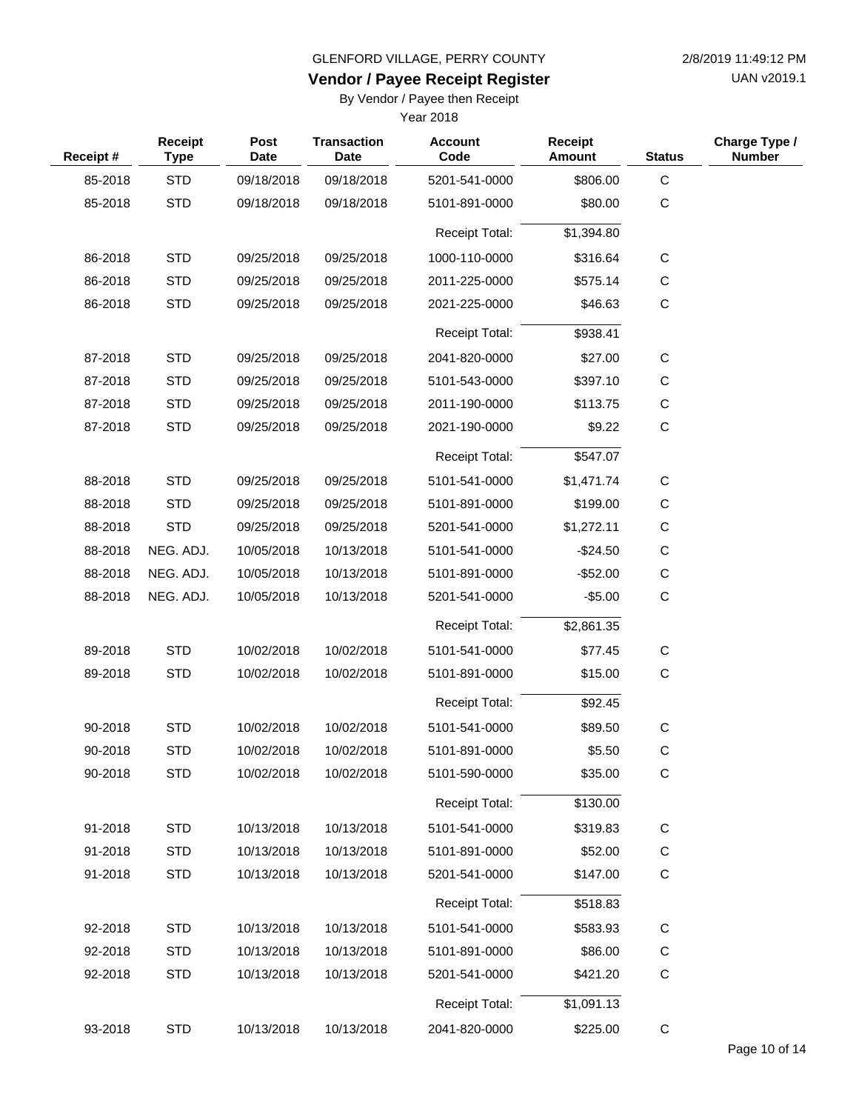**Vendor / Payee Receipt Register**

UAN v2019.1

By Vendor / Payee then Receipt

| Receipt# | <b>Receipt</b><br><b>Type</b> | <b>Post</b><br>Date | <b>Transaction</b><br>Date | <b>Account</b><br>Code | <b>Receipt</b><br><b>Amount</b> | <b>Status</b> | Charge Type /<br><b>Number</b> |
|----------|-------------------------------|---------------------|----------------------------|------------------------|---------------------------------|---------------|--------------------------------|
| 85-2018  | <b>STD</b>                    | 09/18/2018          | 09/18/2018                 | 5201-541-0000          | \$806.00                        | $\mathbf C$   |                                |
| 85-2018  | <b>STD</b>                    | 09/18/2018          | 09/18/2018                 | 5101-891-0000          | \$80.00                         | $\mathsf C$   |                                |
|          |                               |                     |                            | <b>Receipt Total:</b>  | \$1,394.80                      |               |                                |
| 86-2018  | <b>STD</b>                    | 09/25/2018          | 09/25/2018                 | 1000-110-0000          | \$316.64                        | $\mathsf{C}$  |                                |
| 86-2018  | <b>STD</b>                    | 09/25/2018          | 09/25/2018                 | 2011-225-0000          | \$575.14                        | С             |                                |
| 86-2018  | <b>STD</b>                    | 09/25/2018          | 09/25/2018                 | 2021-225-0000          | \$46.63                         | $\mathbf C$   |                                |
|          |                               |                     |                            | <b>Receipt Total:</b>  | \$938.41                        |               |                                |
| 87-2018  | <b>STD</b>                    | 09/25/2018          | 09/25/2018                 | 2041-820-0000          | \$27.00                         | $\mathbf C$   |                                |
| 87-2018  | <b>STD</b>                    | 09/25/2018          | 09/25/2018                 | 5101-543-0000          | \$397.10                        | C             |                                |
| 87-2018  | <b>STD</b>                    | 09/25/2018          | 09/25/2018                 | 2011-190-0000          | \$113.75                        | C             |                                |
| 87-2018  | <b>STD</b>                    | 09/25/2018          | 09/25/2018                 | 2021-190-0000          | \$9.22                          | С             |                                |
|          |                               |                     |                            | <b>Receipt Total:</b>  | \$547.07                        |               |                                |
| 88-2018  | <b>STD</b>                    | 09/25/2018          | 09/25/2018                 | 5101-541-0000          | \$1,471.74                      | С             |                                |
| 88-2018  | <b>STD</b>                    | 09/25/2018          | 09/25/2018                 | 5101-891-0000          | \$199.00                        | С             |                                |
| 88-2018  | <b>STD</b>                    | 09/25/2018          | 09/25/2018                 | 5201-541-0000          | \$1,272.11                      | C             |                                |
| 88-2018  | NEG. ADJ.                     | 10/05/2018          | 10/13/2018                 | 5101-541-0000          | $-$24.50$                       | С             |                                |
| 88-2018  | NEG. ADJ.                     | 10/05/2018          | 10/13/2018                 | 5101-891-0000          | $-$ \$52.00                     | C             |                                |
| 88-2018  | NEG. ADJ.                     | 10/05/2018          | 10/13/2018                 | 5201-541-0000          | $-$5.00$                        | $\mathbf C$   |                                |
|          |                               |                     |                            | <b>Receipt Total:</b>  | \$2,861.35                      |               |                                |
| 89-2018  | <b>STD</b>                    | 10/02/2018          | 10/02/2018                 | 5101-541-0000          | \$77.45                         | C             |                                |
| 89-2018  | <b>STD</b>                    | 10/02/2018          | 10/02/2018                 | 5101-891-0000          | \$15.00                         | $\mathbf C$   |                                |
|          |                               |                     |                            | <b>Receipt Total:</b>  | \$92.45                         |               |                                |
| 90-2018  | <b>STD</b>                    | 10/02/2018          | 10/02/2018                 | 5101-541-0000          | \$89.50                         | C             |                                |
| 90-2018  | <b>STD</b>                    | 10/02/2018          | 10/02/2018                 | 5101-891-0000          | \$5.50                          | C             |                                |
| 90-2018  | <b>STD</b>                    | 10/02/2018          | 10/02/2018                 | 5101-590-0000          | \$35.00                         | $\mathbf C$   |                                |
|          |                               |                     |                            | Receipt Total:         | \$130.00                        |               |                                |
| 91-2018  | <b>STD</b>                    | 10/13/2018          | 10/13/2018                 | 5101-541-0000          | \$319.83                        | C             |                                |
| 91-2018  | <b>STD</b>                    | 10/13/2018          | 10/13/2018                 | 5101-891-0000          | \$52.00                         | C             |                                |
| 91-2018  | <b>STD</b>                    | 10/13/2018          | 10/13/2018                 | 5201-541-0000          | \$147.00                        | С             |                                |
|          |                               |                     |                            | Receipt Total:         | \$518.83                        |               |                                |
| 92-2018  | <b>STD</b>                    | 10/13/2018          | 10/13/2018                 | 5101-541-0000          | \$583.93                        | C             |                                |
| 92-2018  | <b>STD</b>                    | 10/13/2018          | 10/13/2018                 | 5101-891-0000          | \$86.00                         | C             |                                |
| 92-2018  | <b>STD</b>                    | 10/13/2018          | 10/13/2018                 | 5201-541-0000          | \$421.20                        | С             |                                |
|          |                               |                     |                            | Receipt Total:         | \$1,091.13                      |               |                                |
| 93-2018  | <b>STD</b>                    | 10/13/2018          | 10/13/2018                 | 2041-820-0000          | \$225.00                        | $\mathsf C$   |                                |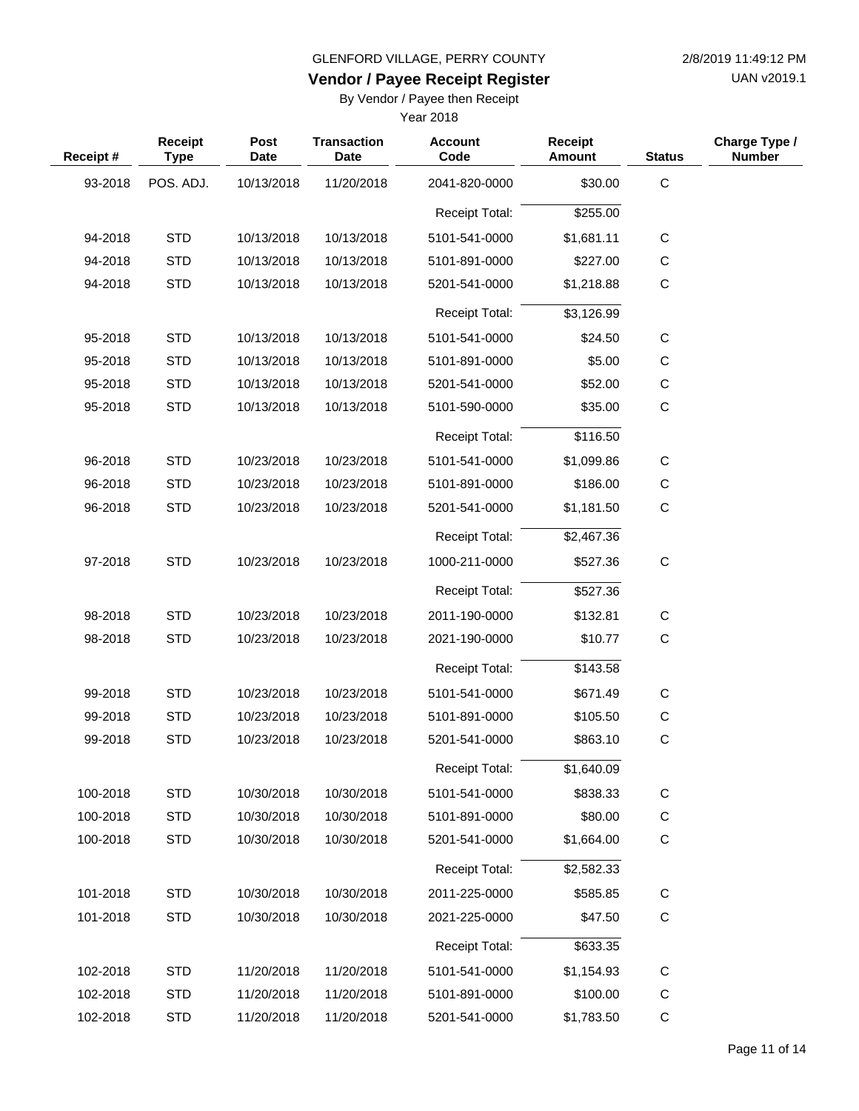#### GLENFORD VILLAGE, PERRY COUNTY

**Vendor / Payee Receipt Register**

By Vendor / Payee then Receipt

| 2/8/2019 11:49:12 PM |
|----------------------|
| UAN v2019.1          |

| Receipt # | Receipt<br><b>Type</b> | <b>Post</b><br><b>Date</b> | <b>Transaction</b><br><b>Date</b> | <b>Account</b><br>Code | Receipt<br>Amount | <b>Status</b> | Charge Type /<br><b>Number</b> |
|-----------|------------------------|----------------------------|-----------------------------------|------------------------|-------------------|---------------|--------------------------------|
| 93-2018   | POS. ADJ.              | 10/13/2018                 | 11/20/2018                        | 2041-820-0000          | \$30.00           | $\mathsf C$   |                                |
|           |                        |                            |                                   | <b>Receipt Total:</b>  | \$255.00          |               |                                |
| 94-2018   | <b>STD</b>             | 10/13/2018                 | 10/13/2018                        | 5101-541-0000          | \$1,681.11        | $\mathsf{C}$  |                                |
| 94-2018   | <b>STD</b>             | 10/13/2018                 | 10/13/2018                        | 5101-891-0000          | \$227.00          | $\mathsf{C}$  |                                |
| 94-2018   | <b>STD</b>             | 10/13/2018                 | 10/13/2018                        | 5201-541-0000          | \$1,218.88        | $\mathsf{C}$  |                                |
|           |                        |                            |                                   | Receipt Total:         | \$3,126.99        |               |                                |
| 95-2018   | <b>STD</b>             | 10/13/2018                 | 10/13/2018                        | 5101-541-0000          | \$24.50           | $\mathsf{C}$  |                                |
| 95-2018   | <b>STD</b>             | 10/13/2018                 | 10/13/2018                        | 5101-891-0000          | \$5.00            | $\mathsf C$   |                                |
| 95-2018   | <b>STD</b>             | 10/13/2018                 | 10/13/2018                        | 5201-541-0000          | \$52.00           | $\mathsf C$   |                                |
| 95-2018   | <b>STD</b>             | 10/13/2018                 | 10/13/2018                        | 5101-590-0000          | \$35.00           | $\mathsf{C}$  |                                |
|           |                        |                            |                                   | <b>Receipt Total:</b>  | \$116.50          |               |                                |
| 96-2018   | <b>STD</b>             | 10/23/2018                 | 10/23/2018                        | 5101-541-0000          | \$1,099.86        | $\mathsf{C}$  |                                |
| 96-2018   | <b>STD</b>             | 10/23/2018                 | 10/23/2018                        | 5101-891-0000          | \$186.00          | $\mathsf C$   |                                |
| 96-2018   | <b>STD</b>             | 10/23/2018                 | 10/23/2018                        | 5201-541-0000          | \$1,181.50        | $\mathsf{C}$  |                                |
|           |                        |                            |                                   | Receipt Total:         | \$2,467.36        |               |                                |
| 97-2018   | <b>STD</b>             | 10/23/2018                 | 10/23/2018                        | 1000-211-0000          | \$527.36          | $\mathsf C$   |                                |
|           |                        |                            |                                   | <b>Receipt Total:</b>  | \$527.36          |               |                                |
| 98-2018   | <b>STD</b>             | 10/23/2018                 | 10/23/2018                        | 2011-190-0000          | \$132.81          | $\mathsf{C}$  |                                |
| 98-2018   | <b>STD</b>             | 10/23/2018                 | 10/23/2018                        | 2021-190-0000          | \$10.77           | $\mathsf{C}$  |                                |
|           |                        |                            |                                   | <b>Receipt Total:</b>  | \$143.58          |               |                                |
| 99-2018   | <b>STD</b>             | 10/23/2018                 | 10/23/2018                        | 5101-541-0000          | \$671.49          | C             |                                |
| 99-2018   | <b>STD</b>             | 10/23/2018                 | 10/23/2018                        | 5101-891-0000          | \$105.50          | $\mathsf{C}$  |                                |
| 99-2018   | <b>STD</b>             | 10/23/2018                 | 10/23/2018                        | 5201-541-0000          | \$863.10          | $\mathsf C$   |                                |
|           |                        |                            |                                   | Receipt Total:         | \$1,640.09        |               |                                |
| 100-2018  | <b>STD</b>             | 10/30/2018                 | 10/30/2018                        | 5101-541-0000          | \$838.33          | $\mathsf C$   |                                |
| 100-2018  | <b>STD</b>             | 10/30/2018                 | 10/30/2018                        | 5101-891-0000          | \$80.00           | $\mathsf{C}$  |                                |
| 100-2018  | <b>STD</b>             | 10/30/2018                 | 10/30/2018                        | 5201-541-0000          | \$1,664.00        | C             |                                |
|           |                        |                            |                                   | Receipt Total:         | \$2,582.33        |               |                                |
| 101-2018  | <b>STD</b>             | 10/30/2018                 | 10/30/2018                        | 2011-225-0000          | \$585.85          | C             |                                |
| 101-2018  | <b>STD</b>             | 10/30/2018                 | 10/30/2018                        | 2021-225-0000          | \$47.50           | $\mathsf{C}$  |                                |
|           |                        |                            |                                   | Receipt Total:         | \$633.35          |               |                                |
| 102-2018  | <b>STD</b>             | 11/20/2018                 | 11/20/2018                        | 5101-541-0000          | \$1,154.93        | $\mathsf{C}$  |                                |
| 102-2018  | <b>STD</b>             | 11/20/2018                 | 11/20/2018                        | 5101-891-0000          | \$100.00          | $\mathsf{C}$  |                                |
| 102-2018  | <b>STD</b>             | 11/20/2018                 | 11/20/2018                        | 5201-541-0000          | \$1,783.50        | $\mathsf C$   |                                |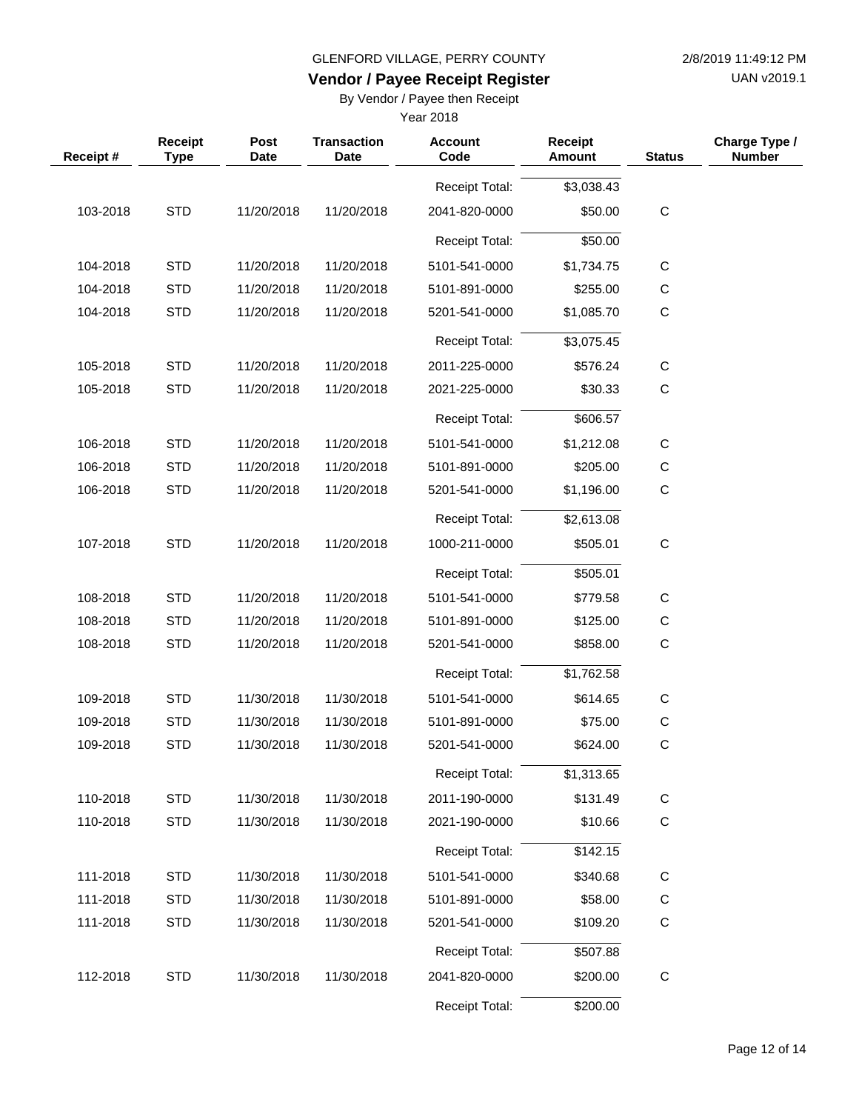UAN v2019.1

## **Vendor / Payee Receipt Register**

By Vendor / Payee then Receipt

| Receipt# | <b>Receipt</b><br><b>Type</b> | Post<br><b>Date</b> | <b>Transaction</b><br><b>Date</b> | <b>Account</b><br>Code | <b>Receipt</b><br><b>Amount</b> | <b>Status</b> | Charge Type /<br><b>Number</b> |
|----------|-------------------------------|---------------------|-----------------------------------|------------------------|---------------------------------|---------------|--------------------------------|
|          |                               |                     |                                   | Receipt Total:         | \$3,038.43                      |               |                                |
| 103-2018 | <b>STD</b>                    | 11/20/2018          | 11/20/2018                        | 2041-820-0000          | \$50.00                         | $\mathbf C$   |                                |
|          |                               |                     |                                   | <b>Receipt Total:</b>  | \$50.00                         |               |                                |
| 104-2018 | <b>STD</b>                    | 11/20/2018          | 11/20/2018                        | 5101-541-0000          | \$1,734.75                      | C             |                                |
| 104-2018 | <b>STD</b>                    | 11/20/2018          | 11/20/2018                        | 5101-891-0000          | \$255.00                        | С             |                                |
| 104-2018 | <b>STD</b>                    | 11/20/2018          | 11/20/2018                        | 5201-541-0000          | \$1,085.70                      | $\mathbf C$   |                                |
|          |                               |                     |                                   | Receipt Total:         | \$3,075.45                      |               |                                |
| 105-2018 | <b>STD</b>                    | 11/20/2018          | 11/20/2018                        | 2011-225-0000          | \$576.24                        | C             |                                |
| 105-2018 | <b>STD</b>                    | 11/20/2018          | 11/20/2018                        | 2021-225-0000          | \$30.33                         | $\mathbf C$   |                                |
|          |                               |                     |                                   | <b>Receipt Total:</b>  | \$606.57                        |               |                                |
| 106-2018 | <b>STD</b>                    | 11/20/2018          | 11/20/2018                        | 5101-541-0000          | \$1,212.08                      | С             |                                |
| 106-2018 | <b>STD</b>                    | 11/20/2018          | 11/20/2018                        | 5101-891-0000          | \$205.00                        | $\mathsf C$   |                                |
| 106-2018 | <b>STD</b>                    | 11/20/2018          | 11/20/2018                        | 5201-541-0000          | \$1,196.00                      | $\mathbf C$   |                                |
|          |                               |                     |                                   | Receipt Total:         | \$2,613.08                      |               |                                |
| 107-2018 | <b>STD</b>                    | 11/20/2018          | 11/20/2018                        | 1000-211-0000          | \$505.01                        | $\mathsf C$   |                                |
|          |                               |                     |                                   | Receipt Total:         | \$505.01                        |               |                                |
| 108-2018 | <b>STD</b>                    | 11/20/2018          | 11/20/2018                        | 5101-541-0000          | \$779.58                        | С             |                                |
| 108-2018 | <b>STD</b>                    | 11/20/2018          | 11/20/2018                        | 5101-891-0000          | \$125.00                        | $\mathsf C$   |                                |
| 108-2018 | <b>STD</b>                    | 11/20/2018          | 11/20/2018                        | 5201-541-0000          | \$858.00                        | $\mathbf C$   |                                |
|          |                               |                     |                                   | Receipt Total:         | \$1,762.58                      |               |                                |
| 109-2018 | <b>STD</b>                    | 11/30/2018          | 11/30/2018                        | 5101-541-0000          | \$614.65                        | С             |                                |
| 109-2018 | <b>STD</b>                    | 11/30/2018          | 11/30/2018                        | 5101-891-0000          | \$75.00                         | $\mathsf C$   |                                |
| 109-2018 | <b>STD</b>                    | 11/30/2018          | 11/30/2018                        | 5201-541-0000          | \$624.00                        | $\mathbf C$   |                                |
|          |                               |                     |                                   | Receipt Total:         | \$1,313.65                      |               |                                |
| 110-2018 | <b>STD</b>                    | 11/30/2018          | 11/30/2018                        | 2011-190-0000          | \$131.49                        | $\mathsf C$   |                                |
| 110-2018 | <b>STD</b>                    | 11/30/2018          | 11/30/2018                        | 2021-190-0000          | \$10.66                         | $\mathbf C$   |                                |
|          |                               |                     |                                   | <b>Receipt Total:</b>  | \$142.15                        |               |                                |
| 111-2018 | <b>STD</b>                    | 11/30/2018          | 11/30/2018                        | 5101-541-0000          | \$340.68                        | C             |                                |
| 111-2018 | <b>STD</b>                    | 11/30/2018          | 11/30/2018                        | 5101-891-0000          | \$58.00                         | $\mathsf C$   |                                |
| 111-2018 | <b>STD</b>                    | 11/30/2018          | 11/30/2018                        | 5201-541-0000          | \$109.20                        | $\mathsf C$   |                                |
|          |                               |                     |                                   | Receipt Total:         | \$507.88                        |               |                                |
| 112-2018 | <b>STD</b>                    | 11/30/2018          | 11/30/2018                        | 2041-820-0000          | \$200.00                        | $\mathbf C$   |                                |
|          |                               |                     |                                   | Receipt Total:         | \$200.00                        |               |                                |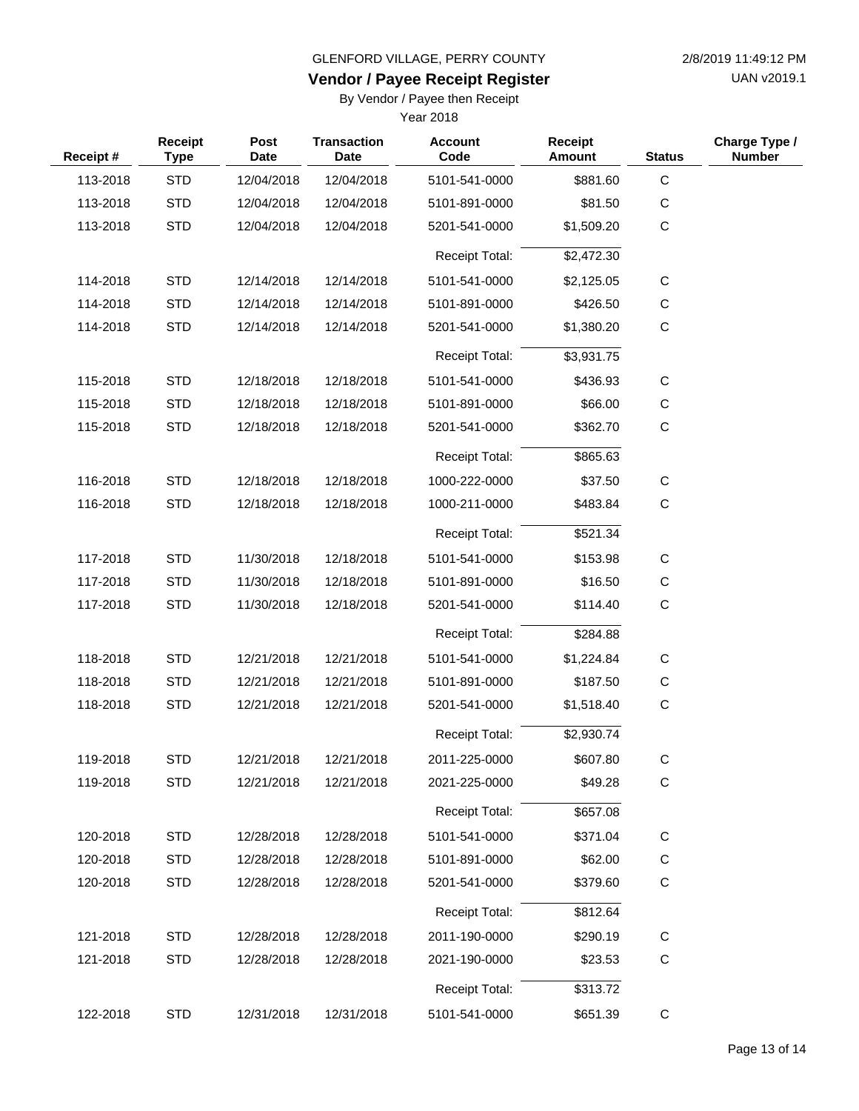UAN v2019.1

## **Vendor / Payee Receipt Register**

By Vendor / Payee then Receipt

| Receipt# | <b>Receipt</b><br><b>Type</b> | Post<br><b>Date</b> | <b>Transaction</b><br><b>Date</b> | <b>Account</b><br>Code | <b>Receipt</b><br><b>Amount</b> | <b>Status</b> | Charge Type /<br><b>Number</b> |
|----------|-------------------------------|---------------------|-----------------------------------|------------------------|---------------------------------|---------------|--------------------------------|
| 113-2018 | <b>STD</b>                    | 12/04/2018          | 12/04/2018                        | 5101-541-0000          | \$881.60                        | $\mathbf C$   |                                |
| 113-2018 | <b>STD</b>                    | 12/04/2018          | 12/04/2018                        | 5101-891-0000          | \$81.50                         | C             |                                |
| 113-2018 | <b>STD</b>                    | 12/04/2018          | 12/04/2018                        | 5201-541-0000          | \$1,509.20                      | C             |                                |
|          |                               |                     |                                   | <b>Receipt Total:</b>  | \$2,472.30                      |               |                                |
| 114-2018 | <b>STD</b>                    | 12/14/2018          | 12/14/2018                        | 5101-541-0000          | \$2,125.05                      | С             |                                |
| 114-2018 | <b>STD</b>                    | 12/14/2018          | 12/14/2018                        | 5101-891-0000          | \$426.50                        | С             |                                |
| 114-2018 | <b>STD</b>                    | 12/14/2018          | 12/14/2018                        | 5201-541-0000          | \$1,380.20                      | C             |                                |
|          |                               |                     |                                   | <b>Receipt Total:</b>  | \$3,931.75                      |               |                                |
| 115-2018 | <b>STD</b>                    | 12/18/2018          | 12/18/2018                        | 5101-541-0000          | \$436.93                        | С             |                                |
| 115-2018 | <b>STD</b>                    | 12/18/2018          | 12/18/2018                        | 5101-891-0000          | \$66.00                         | С             |                                |
| 115-2018 | <b>STD</b>                    | 12/18/2018          | 12/18/2018                        | 5201-541-0000          | \$362.70                        | C             |                                |
|          |                               |                     |                                   | <b>Receipt Total:</b>  | \$865.63                        |               |                                |
| 116-2018 | <b>STD</b>                    | 12/18/2018          | 12/18/2018                        | 1000-222-0000          | \$37.50                         | С             |                                |
| 116-2018 | <b>STD</b>                    | 12/18/2018          | 12/18/2018                        | 1000-211-0000          | \$483.84                        | C             |                                |
|          |                               |                     |                                   | <b>Receipt Total:</b>  | \$521.34                        |               |                                |
| 117-2018 | <b>STD</b>                    | 11/30/2018          | 12/18/2018                        | 5101-541-0000          | \$153.98                        | C             |                                |
| 117-2018 | <b>STD</b>                    | 11/30/2018          | 12/18/2018                        | 5101-891-0000          | \$16.50                         | C             |                                |
| 117-2018 | <b>STD</b>                    | 11/30/2018          | 12/18/2018                        | 5201-541-0000          | \$114.40                        | C             |                                |
|          |                               |                     |                                   | <b>Receipt Total:</b>  | \$284.88                        |               |                                |
| 118-2018 | <b>STD</b>                    | 12/21/2018          | 12/21/2018                        | 5101-541-0000          | \$1,224.84                      | C             |                                |
| 118-2018 | <b>STD</b>                    | 12/21/2018          | 12/21/2018                        | 5101-891-0000          | \$187.50                        | С             |                                |
| 118-2018 | <b>STD</b>                    | 12/21/2018          | 12/21/2018                        | 5201-541-0000          | \$1,518.40                      | $\mathbf C$   |                                |
|          |                               |                     |                                   | <b>Receipt Total:</b>  | \$2,930.74                      |               |                                |
| 119-2018 | <b>STD</b>                    | 12/21/2018          | 12/21/2018                        | 2011-225-0000          | \$607.80                        | C.            |                                |
| 119-2018 | <b>STD</b>                    | 12/21/2018          | 12/21/2018                        | 2021-225-0000          | \$49.28                         | C             |                                |
|          |                               |                     |                                   | Receipt Total:         | \$657.08                        |               |                                |
| 120-2018 | <b>STD</b>                    | 12/28/2018          | 12/28/2018                        | 5101-541-0000          | \$371.04                        | C             |                                |
| 120-2018 | <b>STD</b>                    | 12/28/2018          | 12/28/2018                        | 5101-891-0000          | \$62.00                         | С             |                                |
| 120-2018 | <b>STD</b>                    | 12/28/2018          | 12/28/2018                        | 5201-541-0000          | \$379.60                        | $\mathsf{C}$  |                                |
|          |                               |                     |                                   | Receipt Total:         | \$812.64                        |               |                                |
| 121-2018 | <b>STD</b>                    | 12/28/2018          | 12/28/2018                        | 2011-190-0000          | \$290.19                        | C             |                                |
| 121-2018 | <b>STD</b>                    | 12/28/2018          | 12/28/2018                        | 2021-190-0000          | \$23.53                         | С             |                                |
|          |                               |                     |                                   | Receipt Total:         | \$313.72                        |               |                                |
| 122-2018 | <b>STD</b>                    | 12/31/2018          | 12/31/2018                        | 5101-541-0000          | \$651.39                        | $\mathsf C$   |                                |